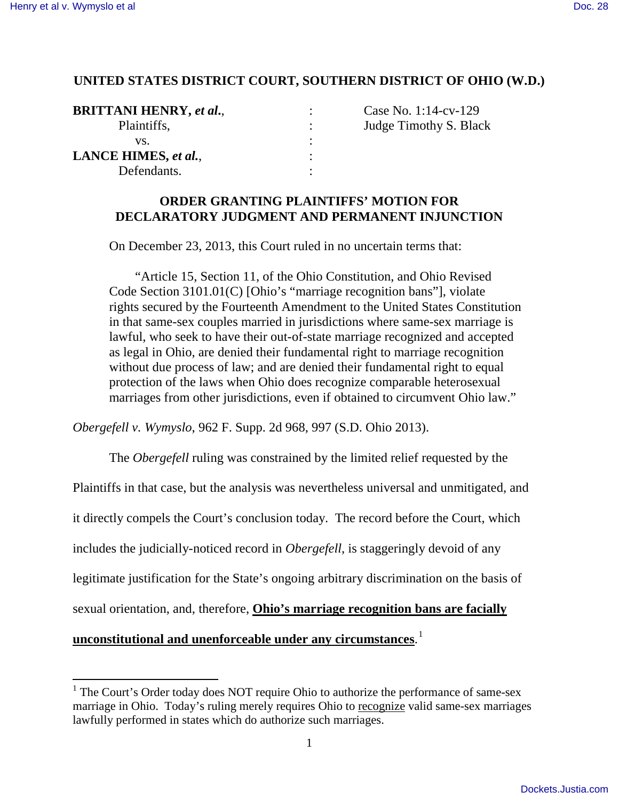# **UNITED STATES DISTRICT COURT, SOUTHERN DISTRICT OF OHIO (W.D.)**

| <b>BRITTANI HENRY, et al.,</b> | Case No |
|--------------------------------|---------|
| Plaintiffs,                    | Judge T |
| VS.                            |         |
| LANCE HIMES, et al.,           |         |
| Defendants.                    |         |

**BRITTANI HENRY,** *et al***.**, : Case No. 1:14-cv-129 Fimothy S. Black

# **ORDER GRANTING PLAINTIFFS' MOTION FOR DECLARATORY JUDGMENT AND PERMANENT INJUNCTION**

On December 23, 2013, this Court ruled in no uncertain terms that:

 "Article 15, Section 11, of the Ohio Constitution, and Ohio Revised Code Section 3101.01(C) [Ohio's "marriage recognition bans"], violate rights secured by the Fourteenth Amendment to the United States Constitution in that same-sex couples married in jurisdictions where same-sex marriage is lawful, who seek to have their out-of-state marriage recognized and accepted as legal in Ohio, are denied their fundamental right to marriage recognition without due process of law; and are denied their fundamental right to equal protection of the laws when Ohio does recognize comparable heterosexual marriages from other jurisdictions, even if obtained to circumvent Ohio law."

*Obergefell v. Wymyslo*, 962 F. Supp. 2d 968, 997 (S.D. Ohio 2013).

The *Obergefell* ruling was constrained by the limited relief requested by the

Plaintiffs in that case, but the analysis was nevertheless universal and unmitigated, and

it directly compels the Court's conclusion today. The record before the Court, which

includes the judicially-noticed record in *Obergefell*, is staggeringly devoid of any

legitimate justification for the State's ongoing arbitrary discrimination on the basis of

sexual orientation, and, therefore, **Ohio's marriage recognition bans are facially** 

# **unconstitutional and unenforceable under any circumstances**. [1](#page-0-0)

<span id="page-0-0"></span><sup>&</sup>lt;sup>1</sup> The Court's Order today does NOT require Ohio to authorize the performance of same-sex marriage in Ohio. Today's ruling merely requires Ohio to recognize valid same-sex marriages lawfully performed in states which do authorize such marriages.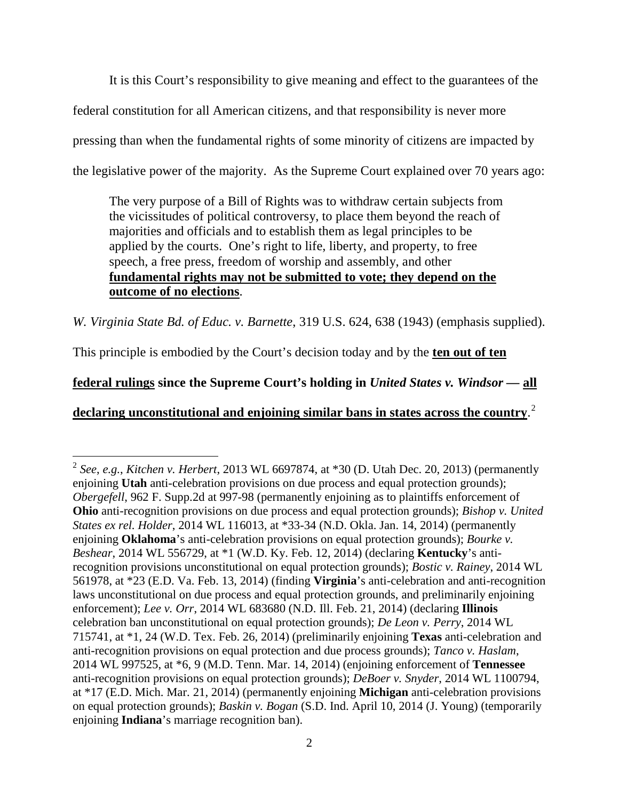It is this Court's responsibility to give meaning and effect to the guarantees of the federal constitution for all American citizens, and that responsibility is never more pressing than when the fundamental rights of some minority of citizens are impacted by the legislative power of the majority. As the Supreme Court explained over 70 years ago:

The very purpose of a Bill of Rights was to withdraw certain subjects from the vicissitudes of political controversy, to place them beyond the reach of majorities and officials and to establish them as legal principles to be applied by the courts. One's right to life, liberty, and property, to free speech, a free press, freedom of worship and assembly, and other **fundamental rights may not be submitted to vote; they depend on the outcome of no elections**.

*W. Virginia State Bd. of Educ. v. Barnette*, 319 U.S. 624, 638 (1943) (emphasis supplied).

This principle is embodied by the Court's decision today and by the **ten out of ten** 

**federal rulings since the Supreme Court's holding in** *United States v. Windsor —* **all**

**declaring unconstitutional and enjoining similar bans in states across the country**. [2](#page-1-0)

<span id="page-1-0"></span> 2 *See*, *e.g.*, *Kitchen v. Herbert*, 2013 WL 6697874, at \*30 (D. Utah Dec. 20, 2013) (permanently enjoining **Utah** anti-celebration provisions on due process and equal protection grounds); *Obergefell*, 962 F. Supp.2d at 997-98 (permanently enjoining as to plaintiffs enforcement of **Ohio** anti-recognition provisions on due process and equal protection grounds); *Bishop v. United States ex rel. Holder*, 2014 WL 116013, at \*33-34 (N.D. Okla. Jan. 14, 2014) (permanently enjoining **Oklahoma**'s anti-celebration provisions on equal protection grounds); *Bourke v. Beshear*, 2014 WL 556729, at \*1 (W.D. Ky. Feb. 12, 2014) (declaring **Kentucky**'s antirecognition provisions unconstitutional on equal protection grounds); *Bostic v. Rainey*, 2014 WL 561978, at \*23 (E.D. Va. Feb. 13, 2014) (finding **Virginia**'s anti-celebration and anti-recognition laws unconstitutional on due process and equal protection grounds, and preliminarily enjoining enforcement); *Lee v. Orr*, 2014 WL 683680 (N.D. Ill. Feb. 21, 2014) (declaring **Illinois** celebration ban unconstitutional on equal protection grounds); *De Leon v. Perry*, 2014 WL 715741, at \*1, 24 (W.D. Tex. Feb. 26, 2014) (preliminarily enjoining **Texas** anti-celebration and anti-recognition provisions on equal protection and due process grounds); *Tanco v. Haslam*, 2014 WL 997525, at \*6, 9 (M.D. Tenn. Mar. 14, 2014) (enjoining enforcement of **Tennessee** anti-recognition provisions on equal protection grounds); *DeBoer v. Snyder*, 2014 WL 1100794, at \*17 (E.D. Mich. Mar. 21, 2014) (permanently enjoining **Michigan** anti-celebration provisions on equal protection grounds); *Baskin v. Bogan* (S.D. Ind. April 10, 2014 (J. Young) (temporarily enjoining **Indiana**'s marriage recognition ban).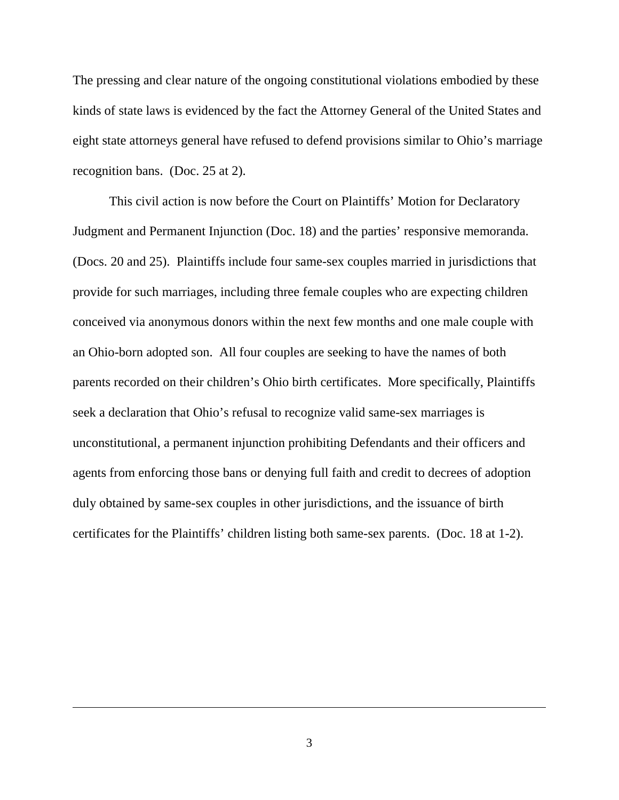The pressing and clear nature of the ongoing constitutional violations embodied by these kinds of state laws is evidenced by the fact the Attorney General of the United States and eight state attorneys general have refused to defend provisions similar to Ohio's marriage recognition bans. (Doc. 25 at 2).

This civil action is now before the Court on Plaintiffs' Motion for Declaratory Judgment and Permanent Injunction (Doc. 18) and the parties' responsive memoranda. (Docs. 20 and 25). Plaintiffs include four same-sex couples married in jurisdictions that provide for such marriages, including three female couples who are expecting children conceived via anonymous donors within the next few months and one male couple with an Ohio-born adopted son. All four couples are seeking to have the names of both parents recorded on their children's Ohio birth certificates. More specifically, Plaintiffs seek a declaration that Ohio's refusal to recognize valid same-sex marriages is unconstitutional, a permanent injunction prohibiting Defendants and their officers and agents from enforcing those bans or denying full faith and credit to decrees of adoption duly obtained by same-sex couples in other jurisdictions, and the issuance of birth certificates for the Plaintiffs' children listing both same-sex parents. (Doc. 18 at 1-2).

 $\overline{a}$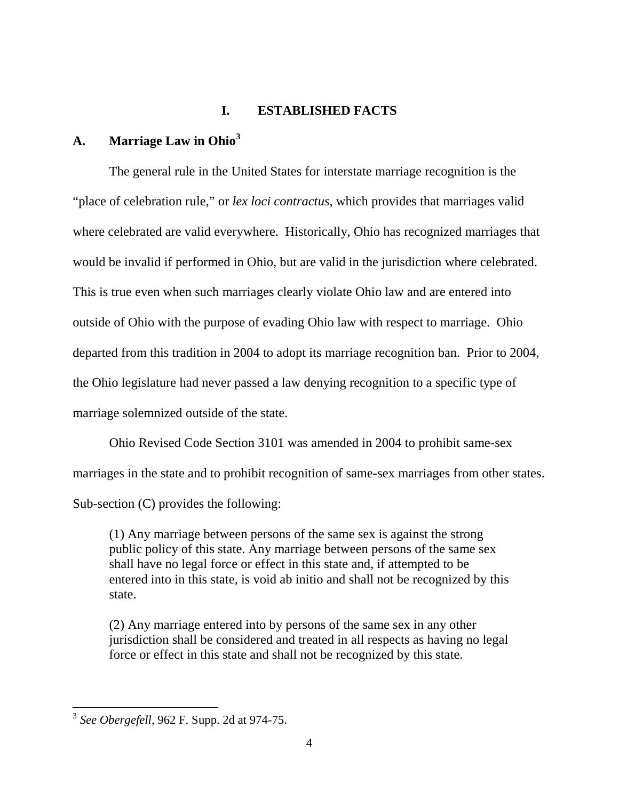## **I. ESTABLISHED FACTS**

# **A. Marriage Law in Ohio[3](#page-3-0)**

 The general rule in the United States for interstate marriage recognition is the "place of celebration rule," or *lex loci contractus*, which provides that marriages valid where celebrated are valid everywhere. Historically, Ohio has recognized marriages that would be invalid if performed in Ohio, but are valid in the jurisdiction where celebrated. This is true even when such marriages clearly violate Ohio law and are entered into outside of Ohio with the purpose of evading Ohio law with respect to marriage. Ohio departed from this tradition in 2004 to adopt its marriage recognition ban. Prior to 2004, the Ohio legislature had never passed a law denying recognition to a specific type of marriage solemnized outside of the state.

 Ohio Revised Code Section 3101 was amended in 2004 to prohibit same-sex marriages in the state and to prohibit recognition of same-sex marriages from other states. Sub-section (C) provides the following:

(1) Any marriage between persons of the same sex is against the strong public policy of this state. Any marriage between persons of the same sex shall have no legal force or effect in this state and, if attempted to be entered into in this state, is void ab initio and shall not be recognized by this state.

(2) Any marriage entered into by persons of the same sex in any other jurisdiction shall be considered and treated in all respects as having no legal force or effect in this state and shall not be recognized by this state.

<span id="page-3-0"></span> 3 *See Obergefell*, 962 F. Supp. 2d at 974-75.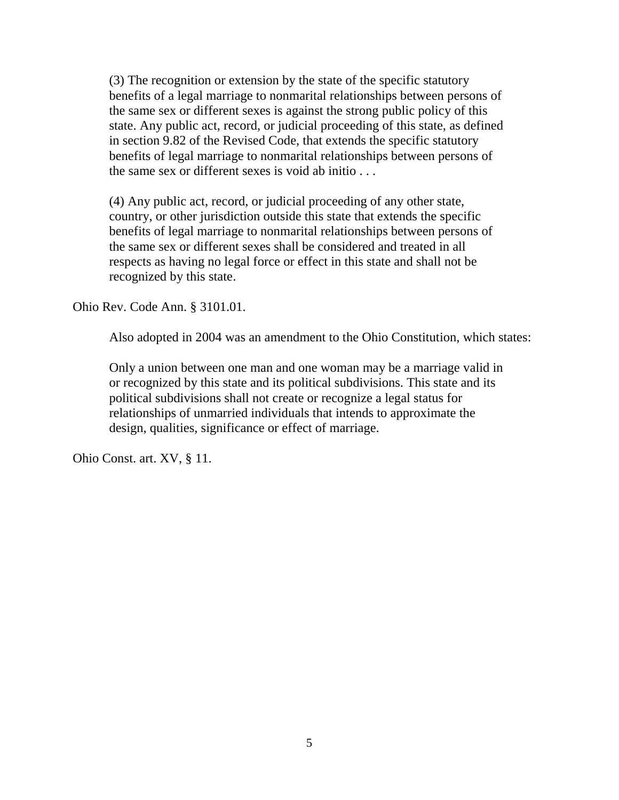(3) The recognition or extension by the state of the specific statutory benefits of a legal marriage to nonmarital relationships between persons of the same sex or different sexes is against the strong public policy of this state. Any public act, record, or judicial proceeding of this state, as defined in section 9.82 of the Revised Code, that extends the specific statutory benefits of legal marriage to nonmarital relationships between persons of the same sex or different sexes is void ab initio . . .

(4) Any public act, record, or judicial proceeding of any other state, country, or other jurisdiction outside this state that extends the specific benefits of legal marriage to nonmarital relationships between persons of the same sex or different sexes shall be considered and treated in all respects as having no legal force or effect in this state and shall not be recognized by this state.

Ohio Rev. Code Ann. § 3101.01.

Also adopted in 2004 was an amendment to the Ohio Constitution, which states:

Only a union between one man and one woman may be a marriage valid in or recognized by this state and its political subdivisions. This state and its political subdivisions shall not create or recognize a legal status for relationships of unmarried individuals that intends to approximate the design, qualities, significance or effect of marriage.

Ohio Const. art. XV, § 11.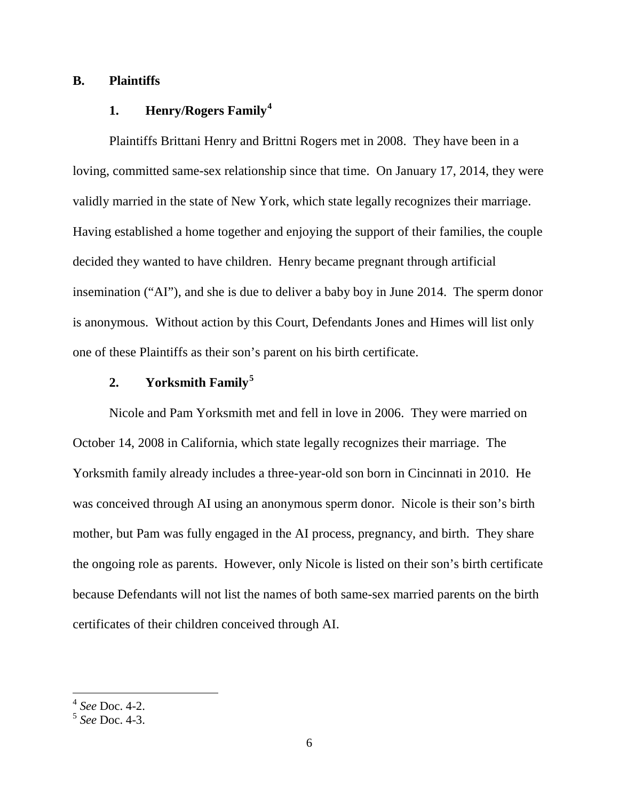## **B. Plaintiffs**

# **1. Henry/Rogers Family[4](#page-5-0)**

 Plaintiffs Brittani Henry and Brittni Rogers met in 2008. They have been in a loving, committed same-sex relationship since that time. On January 17, 2014, they were validly married in the state of New York, which state legally recognizes their marriage. Having established a home together and enjoying the support of their families, the couple decided they wanted to have children. Henry became pregnant through artificial insemination ("AI"), and she is due to deliver a baby boy in June 2014. The sperm donor is anonymous. Without action by this Court, Defendants Jones and Himes will list only one of these Plaintiffs as their son's parent on his birth certificate.

# **2. Yorksmith Family[5](#page-5-1)**

 Nicole and Pam Yorksmith met and fell in love in 2006. They were married on October 14, 2008 in California, which state legally recognizes their marriage. The Yorksmith family already includes a three-year-old son born in Cincinnati in 2010. He was conceived through AI using an anonymous sperm donor. Nicole is their son's birth mother, but Pam was fully engaged in the AI process, pregnancy, and birth. They share the ongoing role as parents. However, only Nicole is listed on their son's birth certificate because Defendants will not list the names of both same-sex married parents on the birth certificates of their children conceived through AI.

 4 *See* Doc. 4-2.

<span id="page-5-1"></span><span id="page-5-0"></span><sup>5</sup> *See* Doc. 4-3.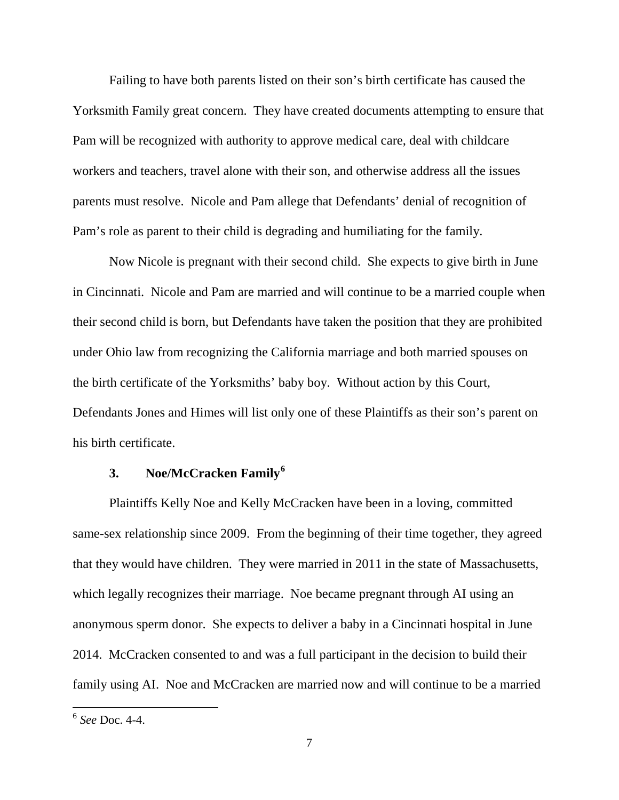Failing to have both parents listed on their son's birth certificate has caused the Yorksmith Family great concern. They have created documents attempting to ensure that Pam will be recognized with authority to approve medical care, deal with childcare workers and teachers, travel alone with their son, and otherwise address all the issues parents must resolve. Nicole and Pam allege that Defendants' denial of recognition of Pam's role as parent to their child is degrading and humiliating for the family.

 Now Nicole is pregnant with their second child. She expects to give birth in June in Cincinnati. Nicole and Pam are married and will continue to be a married couple when their second child is born, but Defendants have taken the position that they are prohibited under Ohio law from recognizing the California marriage and both married spouses on the birth certificate of the Yorksmiths' baby boy. Without action by this Court, Defendants Jones and Himes will list only one of these Plaintiffs as their son's parent on his birth certificate.

# **3. Noe/McCracken Family[6](#page-6-0)**

 Plaintiffs Kelly Noe and Kelly McCracken have been in a loving, committed same-sex relationship since 2009. From the beginning of their time together, they agreed that they would have children. They were married in 2011 in the state of Massachusetts, which legally recognizes their marriage. Noe became pregnant through AI using an anonymous sperm donor. She expects to deliver a baby in a Cincinnati hospital in June 2014. McCracken consented to and was a full participant in the decision to build their family using AI. Noe and McCracken are married now and will continue to be a married

<span id="page-6-0"></span> 6 *See* Doc. 4-4.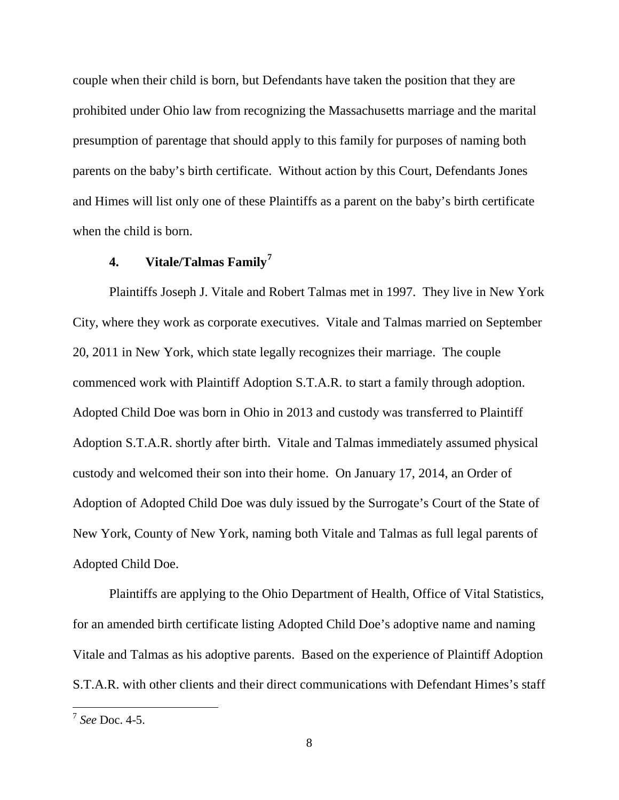couple when their child is born, but Defendants have taken the position that they are prohibited under Ohio law from recognizing the Massachusetts marriage and the marital presumption of parentage that should apply to this family for purposes of naming both parents on the baby's birth certificate. Without action by this Court, Defendants Jones and Himes will list only one of these Plaintiffs as a parent on the baby's birth certificate when the child is born.

# **4. Vitale/Talmas Family[7](#page-7-0)**

 Plaintiffs Joseph J. Vitale and Robert Talmas met in 1997. They live in New York City, where they work as corporate executives. Vitale and Talmas married on September 20, 2011 in New York, which state legally recognizes their marriage. The couple commenced work with Plaintiff Adoption S.T.A.R. to start a family through adoption. Adopted Child Doe was born in Ohio in 2013 and custody was transferred to Plaintiff Adoption S.T.A.R. shortly after birth. Vitale and Talmas immediately assumed physical custody and welcomed their son into their home. On January 17, 2014, an Order of Adoption of Adopted Child Doe was duly issued by the Surrogate's Court of the State of New York, County of New York, naming both Vitale and Talmas as full legal parents of Adopted Child Doe.

 Plaintiffs are applying to the Ohio Department of Health, Office of Vital Statistics, for an amended birth certificate listing Adopted Child Doe's adoptive name and naming Vitale and Talmas as his adoptive parents. Based on the experience of Plaintiff Adoption S.T.A.R. with other clients and their direct communications with Defendant Himes's staff

<span id="page-7-0"></span> 7 *See* Doc. 4-5.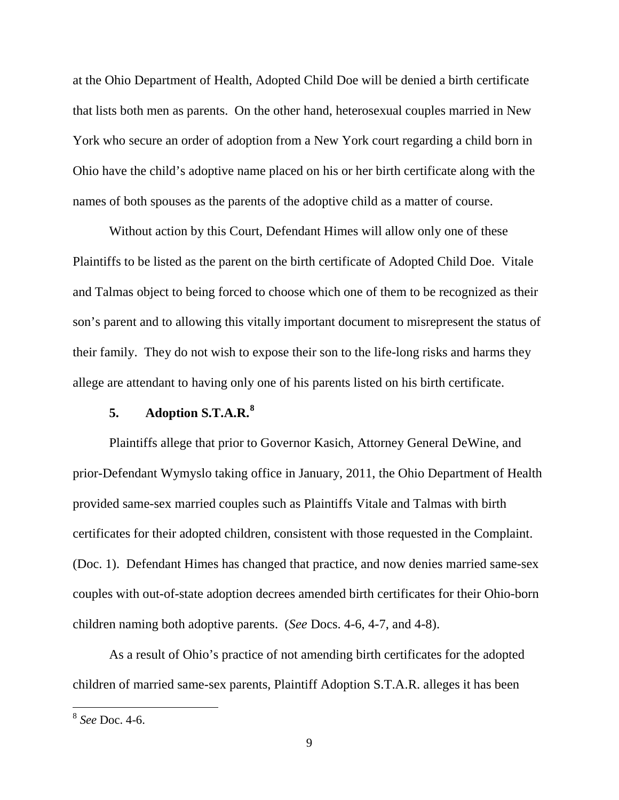at the Ohio Department of Health, Adopted Child Doe will be denied a birth certificate that lists both men as parents. On the other hand, heterosexual couples married in New York who secure an order of adoption from a New York court regarding a child born in Ohio have the child's adoptive name placed on his or her birth certificate along with the names of both spouses as the parents of the adoptive child as a matter of course.

 Without action by this Court, Defendant Himes will allow only one of these Plaintiffs to be listed as the parent on the birth certificate of Adopted Child Doe. Vitale and Talmas object to being forced to choose which one of them to be recognized as their son's parent and to allowing this vitally important document to misrepresent the status of their family. They do not wish to expose their son to the life-long risks and harms they allege are attendant to having only one of his parents listed on his birth certificate.

# **5. Adoption S.T.A.R.[8](#page-8-0)**

Plaintiffs allege that prior to Governor Kasich, Attorney General DeWine, and prior-Defendant Wymyslo taking office in January, 2011, the Ohio Department of Health provided same-sex married couples such as Plaintiffs Vitale and Talmas with birth certificates for their adopted children, consistent with those requested in the Complaint. (Doc. 1). Defendant Himes has changed that practice, and now denies married same-sex couples with out-of-state adoption decrees amended birth certificates for their Ohio-born children naming both adoptive parents. (*See* Docs. 4-6, 4-7, and 4-8).

 As a result of Ohio's practice of not amending birth certificates for the adopted children of married same-sex parents, Plaintiff Adoption S.T.A.R. alleges it has been

<span id="page-8-0"></span> 8 *See* Doc. 4-6.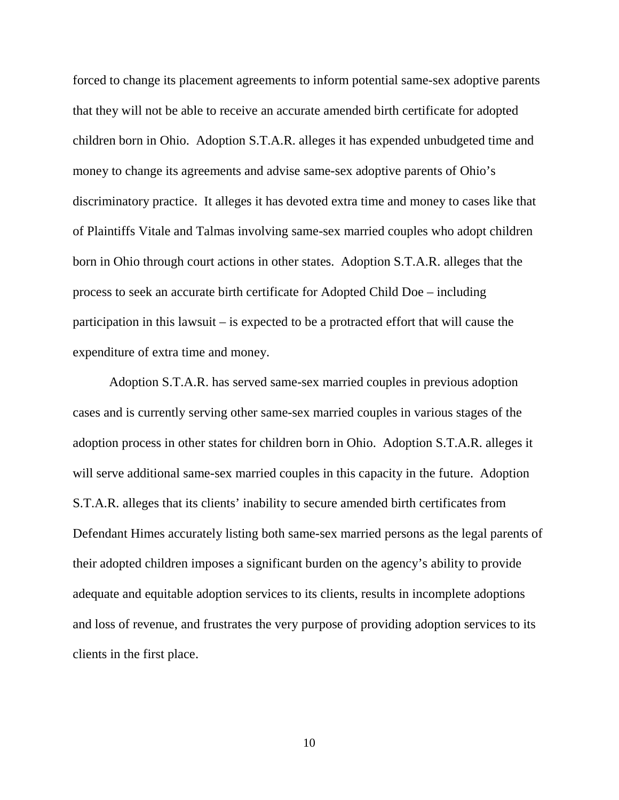forced to change its placement agreements to inform potential same-sex adoptive parents that they will not be able to receive an accurate amended birth certificate for adopted children born in Ohio. Adoption S.T.A.R. alleges it has expended unbudgeted time and money to change its agreements and advise same-sex adoptive parents of Ohio's discriminatory practice. It alleges it has devoted extra time and money to cases like that of Plaintiffs Vitale and Talmas involving same-sex married couples who adopt children born in Ohio through court actions in other states. Adoption S.T.A.R. alleges that the process to seek an accurate birth certificate for Adopted Child Doe – including participation in this lawsuit – is expected to be a protracted effort that will cause the expenditure of extra time and money.

 Adoption S.T.A.R. has served same-sex married couples in previous adoption cases and is currently serving other same-sex married couples in various stages of the adoption process in other states for children born in Ohio. Adoption S.T.A.R. alleges it will serve additional same-sex married couples in this capacity in the future. Adoption S.T.A.R. alleges that its clients' inability to secure amended birth certificates from Defendant Himes accurately listing both same-sex married persons as the legal parents of their adopted children imposes a significant burden on the agency's ability to provide adequate and equitable adoption services to its clients, results in incomplete adoptions and loss of revenue, and frustrates the very purpose of providing adoption services to its clients in the first place.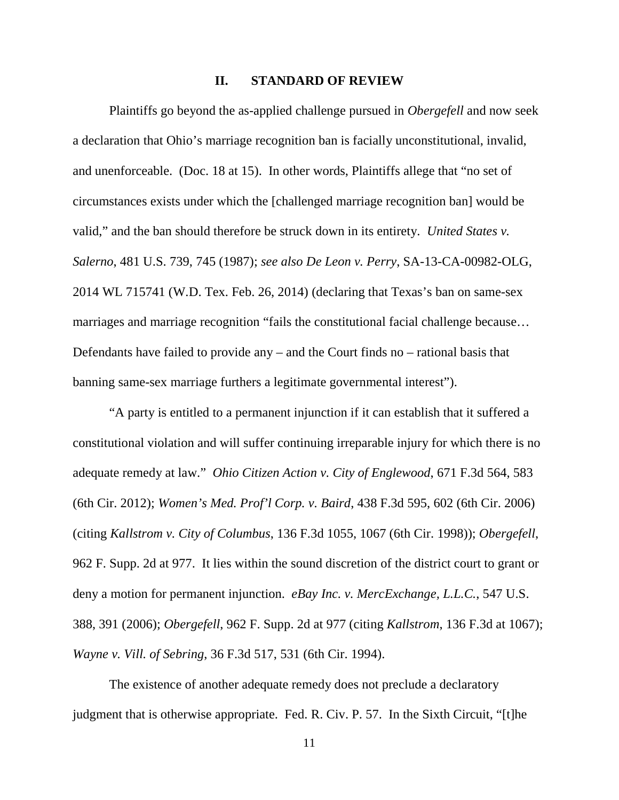#### **II. STANDARD OF REVIEW**

 Plaintiffs go beyond the as-applied challenge pursued in *Obergefell* and now seek a declaration that Ohio's marriage recognition ban is facially unconstitutional, invalid, and unenforceable. (Doc. 18 at 15). In other words, Plaintiffs allege that "no set of circumstances exists under which the [challenged marriage recognition ban] would be valid," and the ban should therefore be struck down in its entirety. *United States v. Salerno*, 481 U.S. 739, 745 (1987); *see also De Leon v. Perry*, SA-13-CA-00982-OLG, 2014 WL 715741 (W.D. Tex. Feb. 26, 2014) (declaring that Texas's ban on same-sex marriages and marriage recognition "fails the constitutional facial challenge because… Defendants have failed to provide any – and the Court finds no – rational basis that banning same-sex marriage furthers a legitimate governmental interest").

 "A party is entitled to a permanent injunction if it can establish that it suffered a constitutional violation and will suffer continuing irreparable injury for which there is no adequate remedy at law." *Ohio Citizen Action v. City of Englewood*, 671 F.3d 564, 583 (6th Cir. 2012); *Women's Med. Prof'l Corp. v. Baird*, 438 F.3d 595, 602 (6th Cir. 2006) (citing *Kallstrom v. City of Columbus*, 136 F.3d 1055, 1067 (6th Cir. 1998)); *Obergefell*, 962 F. Supp. 2d at 977. It lies within the sound discretion of the district court to grant or deny a motion for permanent injunction. *eBay Inc. v. MercExchange, L.L.C.*, 547 U.S. 388, 391 (2006); *Obergefell*, 962 F. Supp. 2d at 977 (citing *Kallstrom*, 136 F.3d at 1067); *Wayne v. Vill. of Sebring*, 36 F.3d 517, 531 (6th Cir. 1994).

 The existence of another adequate remedy does not preclude a declaratory judgment that is otherwise appropriate. Fed. R. Civ. P. 57. In the Sixth Circuit, "[t]he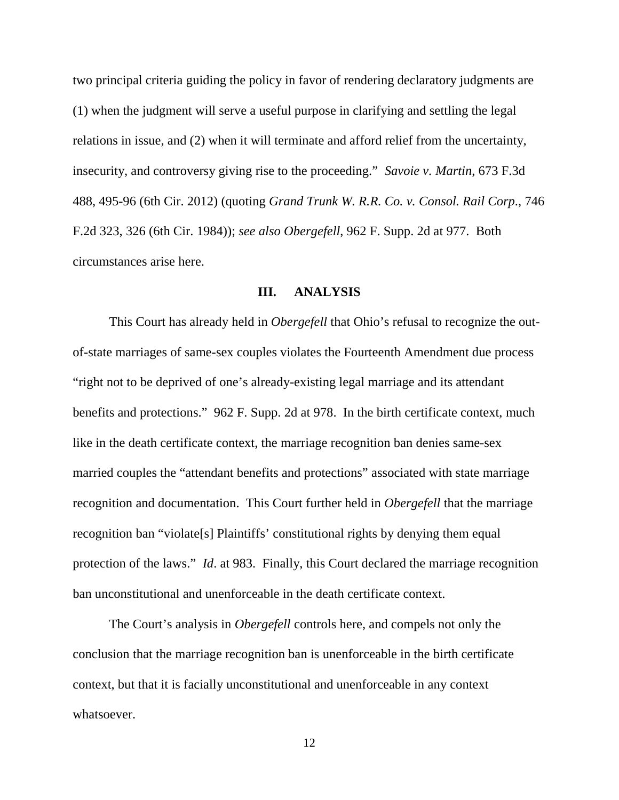two principal criteria guiding the policy in favor of rendering declaratory judgments are (1) when the judgment will serve a useful purpose in clarifying and settling the legal relations in issue, and (2) when it will terminate and afford relief from the uncertainty, insecurity, and controversy giving rise to the proceeding." *Savoie v. Martin*, 673 F.3d 488, 495-96 (6th Cir. 2012) (quoting *Grand Trunk W. R.R. Co. v. Consol. Rail Corp*., 746 F.2d 323, 326 (6th Cir. 1984)); *see also Obergefell*, 962 F. Supp. 2d at 977. Both circumstances arise here.

#### **III. ANALYSIS**

 This Court has already held in *Obergefell* that Ohio's refusal to recognize the outof-state marriages of same-sex couples violates the Fourteenth Amendment due process "right not to be deprived of one's already-existing legal marriage and its attendant benefits and protections." 962 F. Supp. 2d at 978. In the birth certificate context, much like in the death certificate context, the marriage recognition ban denies same-sex married couples the "attendant benefits and protections" associated with state marriage recognition and documentation. This Court further held in *Obergefell* that the marriage recognition ban "violate[s] Plaintiffs' constitutional rights by denying them equal protection of the laws." *Id*. at 983. Finally, this Court declared the marriage recognition ban unconstitutional and unenforceable in the death certificate context.

 The Court's analysis in *Obergefell* controls here, and compels not only the conclusion that the marriage recognition ban is unenforceable in the birth certificate context, but that it is facially unconstitutional and unenforceable in any context whatsoever.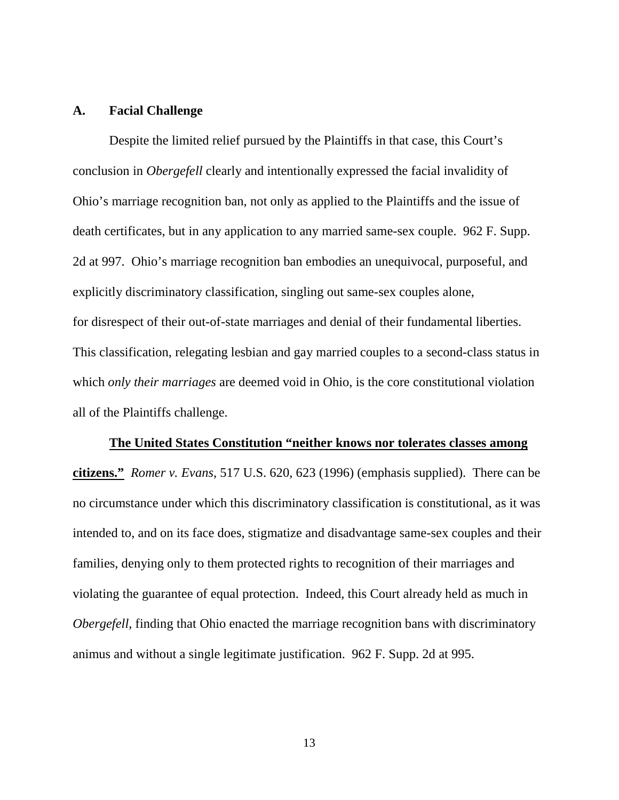#### **A. Facial Challenge**

 Despite the limited relief pursued by the Plaintiffs in that case, this Court's conclusion in *Obergefell* clearly and intentionally expressed the facial invalidity of Ohio's marriage recognition ban, not only as applied to the Plaintiffs and the issue of death certificates, but in any application to any married same-sex couple. 962 F. Supp. 2d at 997. Ohio's marriage recognition ban embodies an unequivocal, purposeful, and explicitly discriminatory classification, singling out same-sex couples alone, for disrespect of their out-of-state marriages and denial of their fundamental liberties. This classification, relegating lesbian and gay married couples to a second-class status in which *only their marriages* are deemed void in Ohio, is the core constitutional violation all of the Plaintiffs challenge.

#### **The United States Constitution "neither knows nor tolerates classes among**

**citizens."** *Romer v. Evans*, 517 U.S. 620, 623 (1996) (emphasis supplied). There can be no circumstance under which this discriminatory classification is constitutional, as it was intended to, and on its face does, stigmatize and disadvantage same-sex couples and their families, denying only to them protected rights to recognition of their marriages and violating the guarantee of equal protection. Indeed, this Court already held as much in *Obergefell*, finding that Ohio enacted the marriage recognition bans with discriminatory animus and without a single legitimate justification. 962 F. Supp. 2d at 995.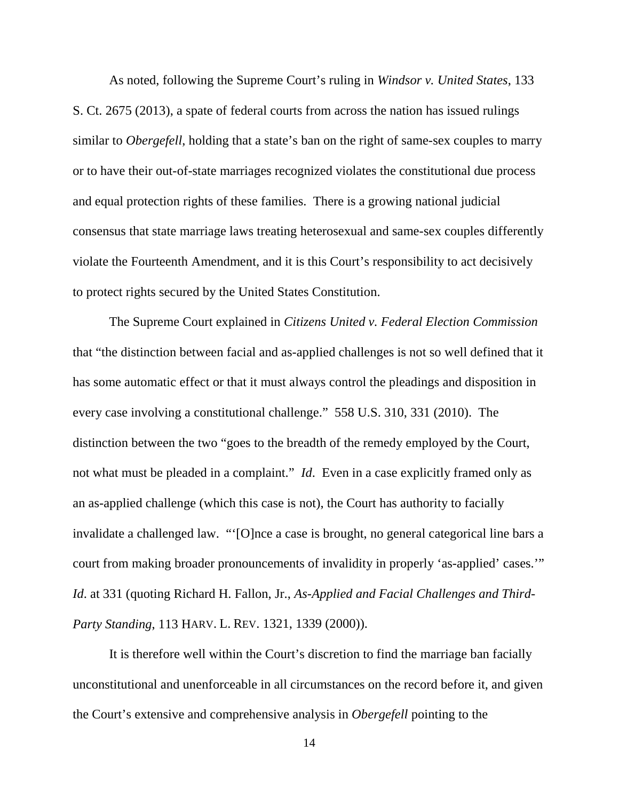As noted, following the Supreme Court's ruling in *Windsor v. United States*, 133 S. Ct. 2675 (2013), a spate of federal courts from across the nation has issued rulings similar to *Obergefell*, holding that a state's ban on the right of same-sex couples to marry or to have their out-of-state marriages recognized violates the constitutional due process and equal protection rights of these families. There is a growing national judicial consensus that state marriage laws treating heterosexual and same-sex couples differently violate the Fourteenth Amendment, and it is this Court's responsibility to act decisively to protect rights secured by the United States Constitution.

 The Supreme Court explained in *Citizens United v. Federal Election Commission* that "the distinction between facial and as-applied challenges is not so well defined that it has some automatic effect or that it must always control the pleadings and disposition in every case involving a constitutional challenge." 558 U.S. 310, 331 (2010). The distinction between the two "goes to the breadth of the remedy employed by the Court, not what must be pleaded in a complaint." *Id*. Even in a case explicitly framed only as an as-applied challenge (which this case is not), the Court has authority to facially invalidate a challenged law. "'[O]nce a case is brought, no general categorical line bars a court from making broader pronouncements of invalidity in properly 'as-applied' cases.'" *Id*. at 331 (quoting Richard H. Fallon, Jr., *As-Applied and Facial Challenges and Third-Party Standing*, 113 HARV. L. REV. 1321, 1339 (2000)).

 It is therefore well within the Court's discretion to find the marriage ban facially unconstitutional and unenforceable in all circumstances on the record before it, and given the Court's extensive and comprehensive analysis in *Obergefell* pointing to the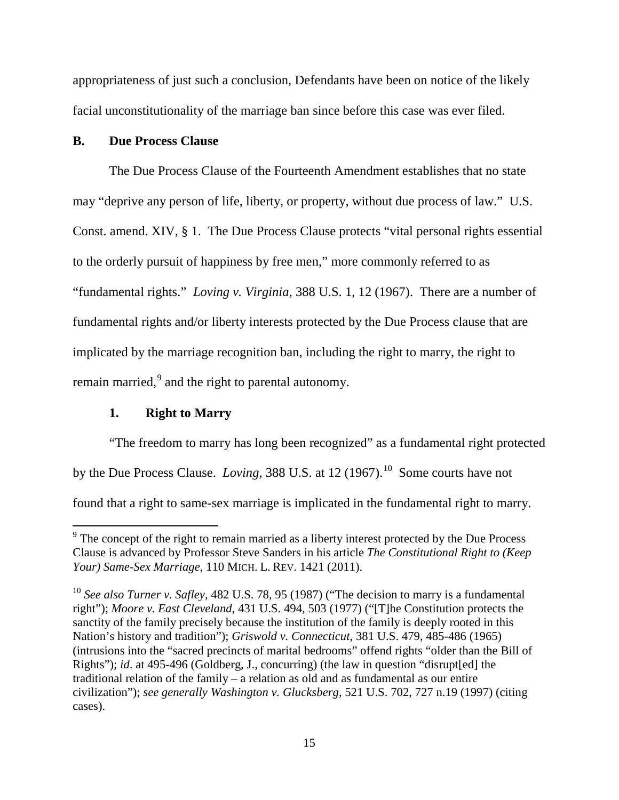appropriateness of just such a conclusion, Defendants have been on notice of the likely facial unconstitutionality of the marriage ban since before this case was ever filed.

## **B. Due Process Clause**

 The Due Process Clause of the Fourteenth Amendment establishes that no state may "deprive any person of life, liberty, or property, without due process of law." U.S. Const. amend. XIV, § 1. The Due Process Clause protects "vital personal rights essential to the orderly pursuit of happiness by free men," more commonly referred to as "fundamental rights." *Loving v. Virginia*, 388 U.S. 1, 12 (1967). There are a number of fundamental rights and/or liberty interests protected by the Due Process clause that are implicated by the marriage recognition ban, including the right to marry, the right to remain married, $9$  and the right to parental autonomy.

## **1. Right to Marry**

"The freedom to marry has long been recognized" as a fundamental right protected by the Due Process Clause. *Loving*, 388 U.S. at 12 (1967).<sup>[10](#page-14-1)</sup> Some courts have not found that a right to same-sex marriage is implicated in the fundamental right to marry.

<span id="page-14-0"></span><sup>&</sup>lt;sup>9</sup> The concept of the right to remain married as a liberty interest protected by the Due Process Clause is advanced by Professor Steve Sanders in his article *The Constitutional Right to (Keep Your) Same-Sex Marriage*, 110 MICH. L. REV. 1421 (2011).

<span id="page-14-1"></span><sup>10</sup> *See also Turner v. Safley*, 482 U.S. 78, 95 (1987) ("The decision to marry is a fundamental right"); *Moore v. East Cleveland*, 431 U.S. 494, 503 (1977) ("[T]he Constitution protects the sanctity of the family precisely because the institution of the family is deeply rooted in this Nation's history and tradition"); *Griswold v. Connecticut*, 381 U.S. 479, 485-486 (1965) (intrusions into the "sacred precincts of marital bedrooms" offend rights "older than the Bill of Rights"); *id*. at 495-496 (Goldberg, J., concurring) (the law in question "disrupt[ed] the traditional relation of the family – a relation as old and as fundamental as our entire civilization"); *see generally Washington v. Glucksberg*, 521 U.S. 702, 727 n.19 (1997) (citing cases).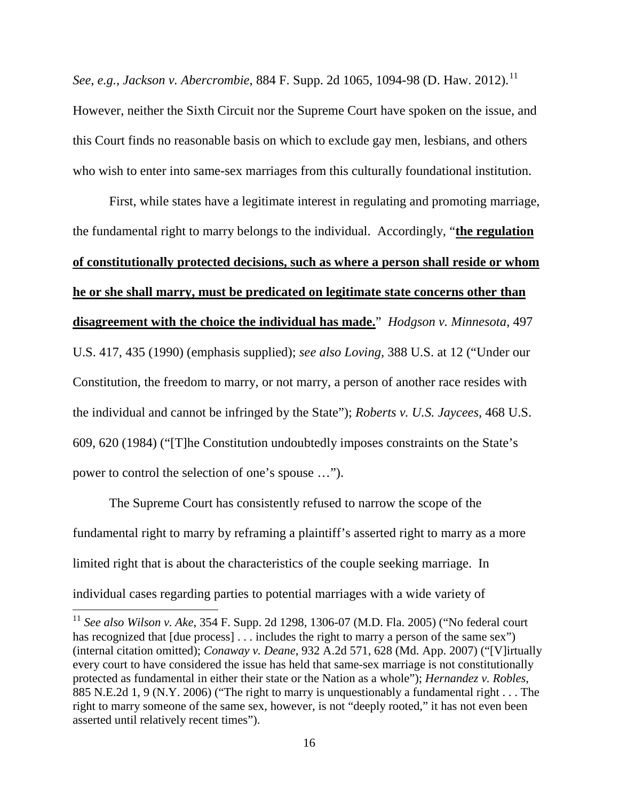*See, e.g., Jackson v. Abercrombie, 884 F. Supp. 2d 1065, 1094-98 (D. Haw. 2012).*<sup>[11](#page-15-0)</sup> However, neither the Sixth Circuit nor the Supreme Court have spoken on the issue, and this Court finds no reasonable basis on which to exclude gay men, lesbians, and others who wish to enter into same-sex marriages from this culturally foundational institution.

 First, while states have a legitimate interest in regulating and promoting marriage, the fundamental right to marry belongs to the individual. Accordingly, "**the regulation of constitutionally protected decisions, such as where a person shall reside or whom he or she shall marry, must be predicated on legitimate state concerns other than disagreement with the choice the individual has made.**" *Hodgson v. Minnesota*, 497 U.S. 417, 435 (1990) (emphasis supplied); *see also Loving*, 388 U.S. at 12 ("Under our Constitution, the freedom to marry, or not marry, a person of another race resides with the individual and cannot be infringed by the State"); *Roberts v. U.S. Jaycees*, 468 U.S. 609, 620 (1984) ("[T]he Constitution undoubtedly imposes constraints on the State's power to control the selection of one's spouse …").

 The Supreme Court has consistently refused to narrow the scope of the fundamental right to marry by reframing a plaintiff's asserted right to marry as a more limited right that is about the characteristics of the couple seeking marriage. In individual cases regarding parties to potential marriages with a wide variety of

 $\overline{a}$ 

<span id="page-15-0"></span><sup>11</sup> *See also Wilson v. Ake*, 354 F. Supp. 2d 1298, 1306-07 (M.D. Fla. 2005) ("No federal court has recognized that [due process] . . . includes the right to marry a person of the same sex") (internal citation omitted); *Conaway v. Deane*, 932 A.2d 571, 628 (Md. App. 2007) ("[V]irtually every court to have considered the issue has held that same-sex marriage is not constitutionally protected as fundamental in either their state or the Nation as a whole"); *Hernandez v. Robles*, 885 N.E.2d 1, 9 (N.Y. 2006) ("The right to marry is unquestionably a fundamental right . . . The right to marry someone of the same sex, however, is not "deeply rooted," it has not even been asserted until relatively recent times").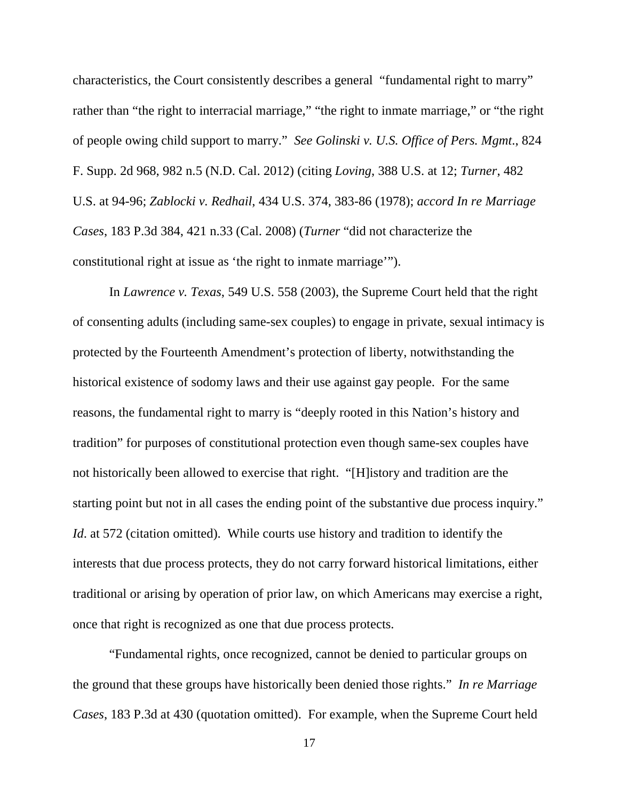characteristics, the Court consistently describes a general "fundamental right to marry" rather than "the right to interracial marriage," "the right to inmate marriage," or "the right of people owing child support to marry." *See Golinski v. U.S. Office of Pers. Mgmt*., 824 F. Supp. 2d 968, 982 n.5 (N.D. Cal. 2012) (citing *Loving*, 388 U.S. at 12; *Turner*, 482 U.S. at 94-96; *Zablocki v. Redhail*, 434 U.S. 374, 383-86 (1978); *accord In re Marriage Cases*, 183 P.3d 384, 421 n.33 (Cal. 2008) (*Turner* "did not characterize the constitutional right at issue as 'the right to inmate marriage'").

 In *Lawrence v. Texas*, 549 U.S. 558 (2003), the Supreme Court held that the right of consenting adults (including same-sex couples) to engage in private, sexual intimacy is protected by the Fourteenth Amendment's protection of liberty, notwithstanding the historical existence of sodomy laws and their use against gay people. For the same reasons, the fundamental right to marry is "deeply rooted in this Nation's history and tradition" for purposes of constitutional protection even though same-sex couples have not historically been allowed to exercise that right. "[H]istory and tradition are the starting point but not in all cases the ending point of the substantive due process inquiry." *Id.* at 572 (citation omitted). While courts use history and tradition to identify the interests that due process protects, they do not carry forward historical limitations, either traditional or arising by operation of prior law, on which Americans may exercise a right, once that right is recognized as one that due process protects.

 "Fundamental rights, once recognized, cannot be denied to particular groups on the ground that these groups have historically been denied those rights." *In re Marriage Cases*, 183 P.3d at 430 (quotation omitted). For example, when the Supreme Court held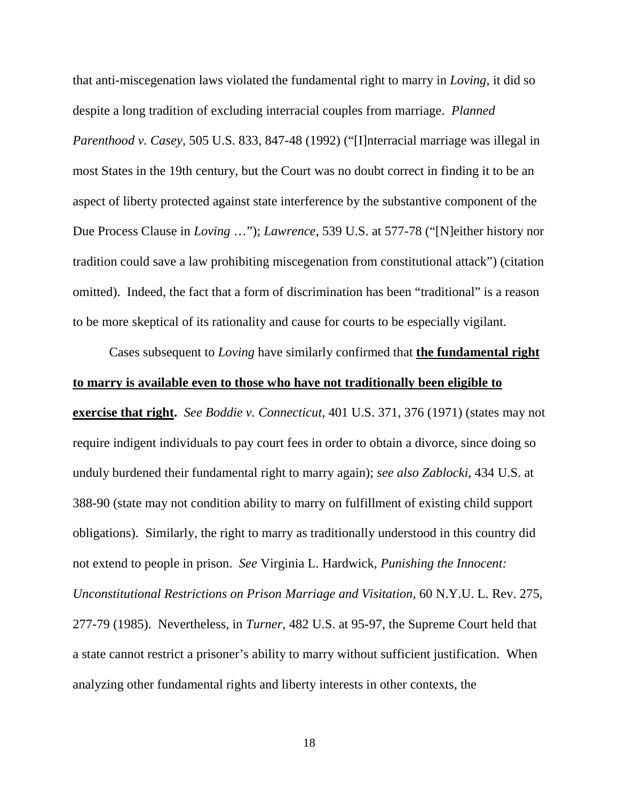that anti-miscegenation laws violated the fundamental right to marry in *Loving*, it did so despite a long tradition of excluding interracial couples from marriage. *Planned Parenthood v. Casey*, 505 U.S. 833, 847-48 (1992) ("[I]nterracial marriage was illegal in most States in the 19th century, but the Court was no doubt correct in finding it to be an aspect of liberty protected against state interference by the substantive component of the Due Process Clause in *Loving* …"); *Lawrence*, 539 U.S. at 577-78 ("[N]either history nor tradition could save a law prohibiting miscegenation from constitutional attack") (citation omitted). Indeed, the fact that a form of discrimination has been "traditional" is a reason to be more skeptical of its rationality and cause for courts to be especially vigilant.

 Cases subsequent to *Loving* have similarly confirmed that **the fundamental right to marry is available even to those who have not traditionally been eligible to exercise that right.** *See Boddie v. Connecticut*, 401 U.S. 371, 376 (1971) (states may not

require indigent individuals to pay court fees in order to obtain a divorce, since doing so unduly burdened their fundamental right to marry again); *see also Zablocki*, 434 U.S. at 388-90 (state may not condition ability to marry on fulfillment of existing child support obligations). Similarly, the right to marry as traditionally understood in this country did not extend to people in prison. *See* Virginia L. Hardwick, *Punishing the Innocent: Unconstitutional Restrictions on Prison Marriage and Visitation*, 60 N.Y.U. L. Rev. 275, 277-79 (1985). Nevertheless, in *Turner*, 482 U.S. at 95-97, the Supreme Court held that a state cannot restrict a prisoner's ability to marry without sufficient justification. When analyzing other fundamental rights and liberty interests in other contexts, the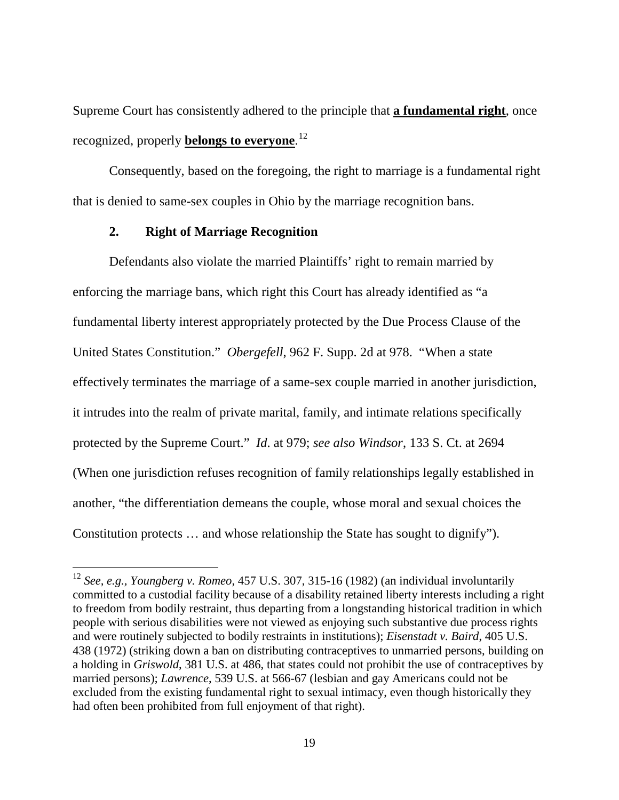Supreme Court has consistently adhered to the principle that **a fundamental right**, once recognized, properly **belongs to everyone**. [12](#page-18-0)

 Consequently, based on the foregoing, the right to marriage is a fundamental right that is denied to same-sex couples in Ohio by the marriage recognition bans.

## **2. Right of Marriage Recognition**

 $\overline{a}$ 

 Defendants also violate the married Plaintiffs' right to remain married by enforcing the marriage bans, which right this Court has already identified as "a fundamental liberty interest appropriately protected by the Due Process Clause of the United States Constitution." *Obergefell*, 962 F. Supp. 2d at 978. "When a state effectively terminates the marriage of a same-sex couple married in another jurisdiction, it intrudes into the realm of private marital, family, and intimate relations specifically protected by the Supreme Court." *Id*. at 979; *see also Windsor*, 133 S. Ct. at 2694 (When one jurisdiction refuses recognition of family relationships legally established in another, "the differentiation demeans the couple, whose moral and sexual choices the Constitution protects … and whose relationship the State has sought to dignify").

<span id="page-18-0"></span><sup>12</sup> *See, e.g., Youngberg v. Romeo*, 457 U.S. 307, 315-16 (1982) (an individual involuntarily committed to a custodial facility because of a disability retained liberty interests including a right to freedom from bodily restraint, thus departing from a longstanding historical tradition in which people with serious disabilities were not viewed as enjoying such substantive due process rights and were routinely subjected to bodily restraints in institutions); *Eisenstadt v. Baird*, 405 U.S. 438 (1972) (striking down a ban on distributing contraceptives to unmarried persons, building on a holding in *Griswold*, 381 U.S. at 486, that states could not prohibit the use of contraceptives by married persons); *Lawrence*, 539 U.S. at 566-67 (lesbian and gay Americans could not be excluded from the existing fundamental right to sexual intimacy, even though historically they had often been prohibited from full enjoyment of that right).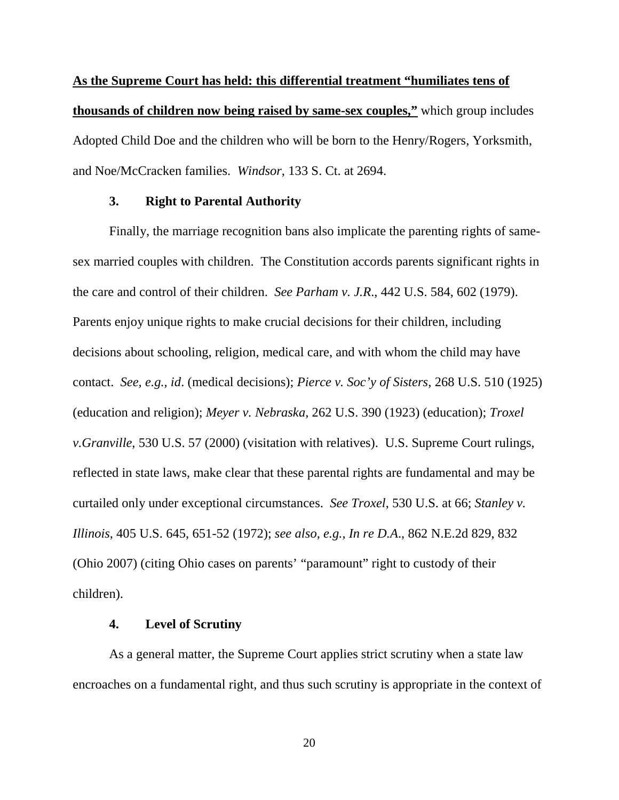**As the Supreme Court has held: this differential treatment "humiliates tens of thousands of children now being raised by same-sex couples,"** which group includes Adopted Child Doe and the children who will be born to the Henry/Rogers, Yorksmith, and Noe/McCracken families. *Windsor*, 133 S. Ct. at 2694.

## **3. Right to Parental Authority**

 Finally, the marriage recognition bans also implicate the parenting rights of samesex married couples with children. The Constitution accords parents significant rights in the care and control of their children. *See Parham v. J.R*., 442 U.S. 584, 602 (1979). Parents enjoy unique rights to make crucial decisions for their children, including decisions about schooling, religion, medical care, and with whom the child may have contact. *See, e.g., id*. (medical decisions); *Pierce v. Soc'y of Sisters*, 268 U.S. 510 (1925) (education and religion); *Meyer v. Nebraska*, 262 U.S. 390 (1923) (education); *Troxel v.Granville*, 530 U.S. 57 (2000) (visitation with relatives). U.S. Supreme Court rulings, reflected in state laws, make clear that these parental rights are fundamental and may be curtailed only under exceptional circumstances. *See Troxel*, 530 U.S. at 66; *Stanley v. Illinois*, 405 U.S. 645, 651-52 (1972); *see also, e.g., In re D.A*., 862 N.E.2d 829, 832 (Ohio 2007) (citing Ohio cases on parents' "paramount" right to custody of their children).

## **4. Level of Scrutiny**

 As a general matter, the Supreme Court applies strict scrutiny when a state law encroaches on a fundamental right, and thus such scrutiny is appropriate in the context of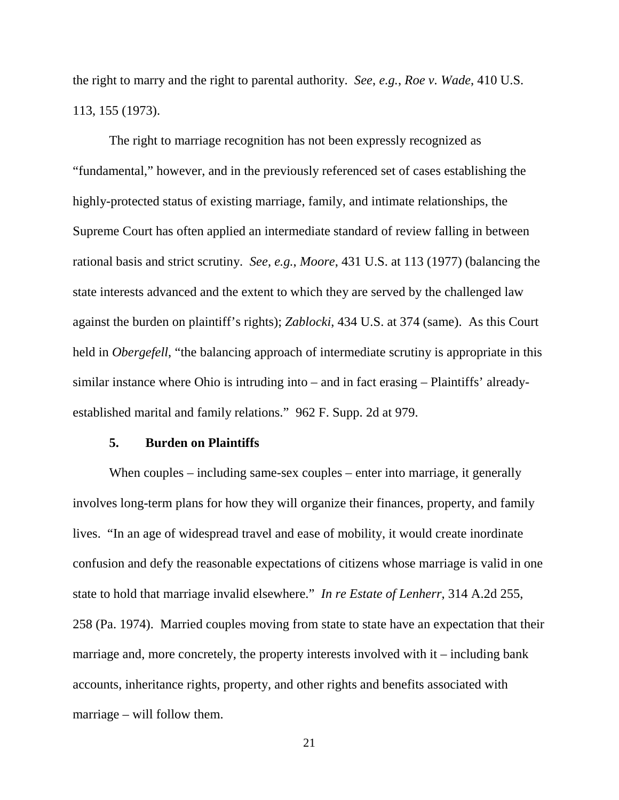the right to marry and the right to parental authority. *See*, *e.g.*, *Roe v. Wade*, 410 U.S. 113, 155 (1973).

 The right to marriage recognition has not been expressly recognized as "fundamental," however, and in the previously referenced set of cases establishing the highly-protected status of existing marriage, family, and intimate relationships, the Supreme Court has often applied an intermediate standard of review falling in between rational basis and strict scrutiny. *See*, *e.g.*, *Moore*, 431 U.S. at 113 (1977) (balancing the state interests advanced and the extent to which they are served by the challenged law against the burden on plaintiff's rights); *Zablocki*, 434 U.S. at 374 (same). As this Court held in *Obergefell*, "the balancing approach of intermediate scrutiny is appropriate in this similar instance where Ohio is intruding into – and in fact erasing – Plaintiffs' alreadyestablished marital and family relations." 962 F. Supp. 2d at 979.

#### **5. Burden on Plaintiffs**

When couples – including same-sex couples – enter into marriage, it generally involves long-term plans for how they will organize their finances, property, and family lives. "In an age of widespread travel and ease of mobility, it would create inordinate confusion and defy the reasonable expectations of citizens whose marriage is valid in one state to hold that marriage invalid elsewhere." *In re Estate of Lenherr*, 314 A.2d 255, 258 (Pa. 1974). Married couples moving from state to state have an expectation that their marriage and, more concretely, the property interests involved with it – including bank accounts, inheritance rights, property, and other rights and benefits associated with marriage – will follow them.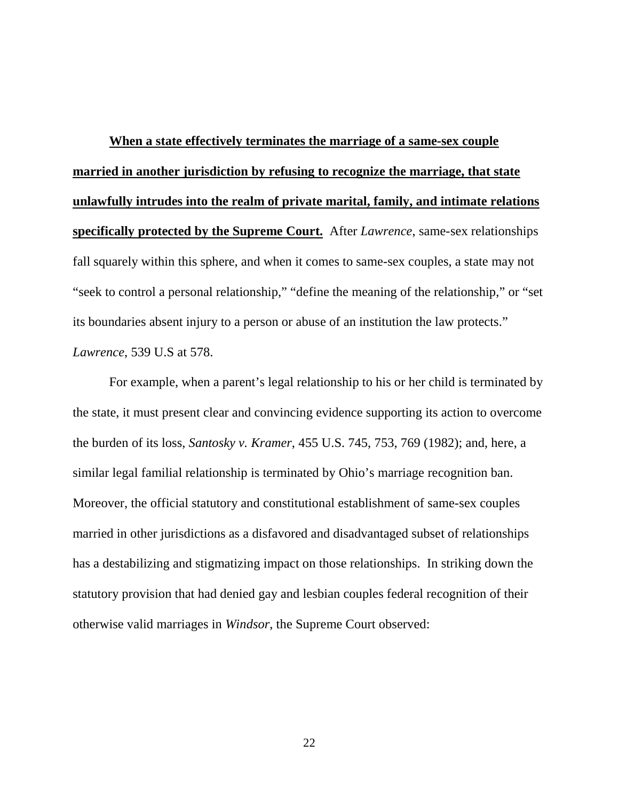**When a state effectively terminates the marriage of a same-sex couple married in another jurisdiction by refusing to recognize the marriage, that state unlawfully intrudes into the realm of private marital, family, and intimate relations specifically protected by the Supreme Court.** After *Lawrence*, same-sex relationships fall squarely within this sphere, and when it comes to same-sex couples, a state may not "seek to control a personal relationship," "define the meaning of the relationship," or "set its boundaries absent injury to a person or abuse of an institution the law protects." *Lawrence*, 539 U.S at 578.

 For example, when a parent's legal relationship to his or her child is terminated by the state, it must present clear and convincing evidence supporting its action to overcome the burden of its loss, *Santosky v. Kramer*, 455 U.S. 745, 753, 769 (1982); and, here, a similar legal familial relationship is terminated by Ohio's marriage recognition ban. Moreover, the official statutory and constitutional establishment of same-sex couples married in other jurisdictions as a disfavored and disadvantaged subset of relationships has a destabilizing and stigmatizing impact on those relationships. In striking down the statutory provision that had denied gay and lesbian couples federal recognition of their otherwise valid marriages in *Windsor*, the Supreme Court observed: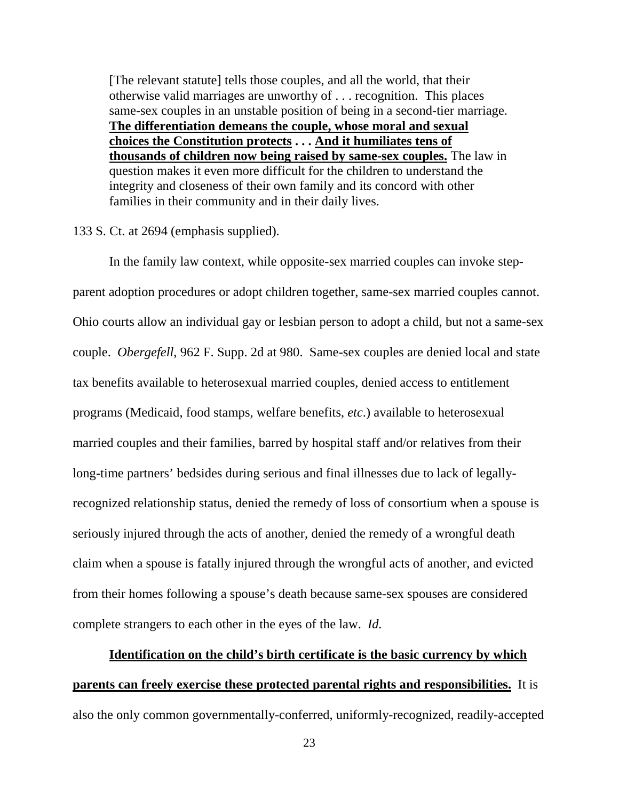[The relevant statute] tells those couples, and all the world, that their otherwise valid marriages are unworthy of . . . recognition. This places same-sex couples in an unstable position of being in a second-tier marriage. **The differentiation demeans the couple, whose moral and sexual choices the Constitution protects . . . And it humiliates tens of thousands of children now being raised by same-sex couples.** The law in question makes it even more difficult for the children to understand the integrity and closeness of their own family and its concord with other families in their community and in their daily lives.

#### 133 S. Ct. at 2694 (emphasis supplied).

 In the family law context, while opposite-sex married couples can invoke stepparent adoption procedures or adopt children together, same-sex married couples cannot. Ohio courts allow an individual gay or lesbian person to adopt a child, but not a same-sex couple. *Obergefell*, 962 F. Supp. 2d at 980. Same-sex couples are denied local and state tax benefits available to heterosexual married couples, denied access to entitlement programs (Medicaid, food stamps, welfare benefits, *etc*.) available to heterosexual married couples and their families, barred by hospital staff and/or relatives from their long-time partners' bedsides during serious and final illnesses due to lack of legallyrecognized relationship status, denied the remedy of loss of consortium when a spouse is seriously injured through the acts of another, denied the remedy of a wrongful death claim when a spouse is fatally injured through the wrongful acts of another, and evicted from their homes following a spouse's death because same-sex spouses are considered complete strangers to each other in the eyes of the law. *Id.*

**Identification on the child's birth certificate is the basic currency by which parents can freely exercise these protected parental rights and responsibilities.** It is also the only common governmentally-conferred, uniformly-recognized, readily-accepted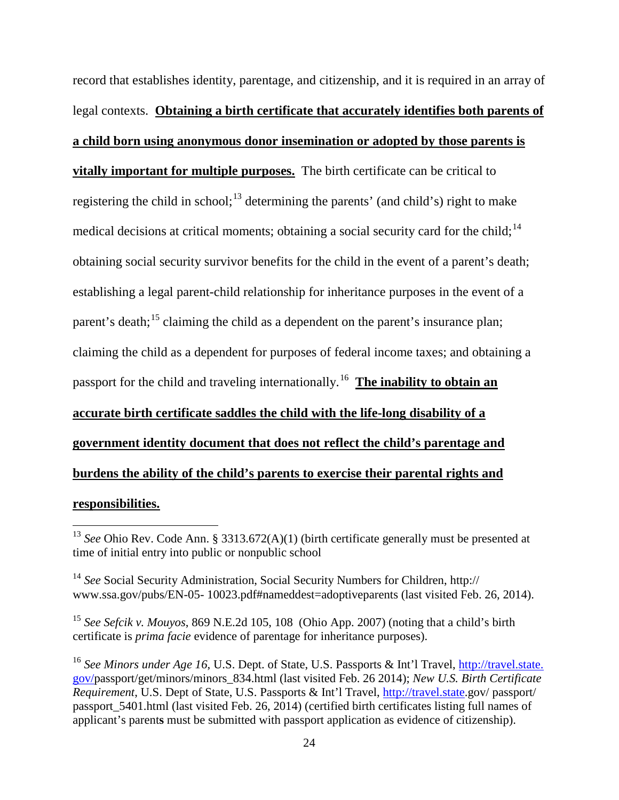record that establishes identity, parentage, and citizenship, and it is required in an array of legal contexts. **Obtaining a birth certificate that accurately identifies both parents of a child born using anonymous donor insemination or adopted by those parents is vitally important for multiple purposes.** The birth certificate can be critical to registering the child in school;<sup>[13](#page-23-0)</sup> determining the parents' (and child's) right to make medical decisions at critical moments; obtaining a social security card for the child;<sup>[14](#page-23-1)</sup> obtaining social security survivor benefits for the child in the event of a parent's death; establishing a legal parent-child relationship for inheritance purposes in the event of a parent's death;<sup>[15](#page-23-2)</sup> claiming the child as a dependent on the parent's insurance plan; claiming the child as a dependent for purposes of federal income taxes; and obtaining a passport for the child and traveling internationally.<sup>[16](#page-23-3)</sup> The inability to obtain an **accurate birth certificate saddles the child with the life-long disability of a government identity document that does not reflect the child's parentage and burdens the ability of the child's parents to exercise their parental rights and responsibilities.**  $\overline{a}$ 

<span id="page-23-0"></span><sup>13</sup> *See* Ohio Rev. Code Ann. § 3313.672(A)(1) (birth certificate generally must be presented at time of initial entry into public or nonpublic school

<span id="page-23-1"></span><sup>14</sup> *See* Social Security Administration, Social Security Numbers for Children, http:// www.ssa.gov/pubs/EN-05- 10023.pdf#nameddest=adoptiveparents (last visited Feb. 26, 2014).

<span id="page-23-2"></span><sup>15</sup> *See Sefcik v. Mouyos*, 869 N.E.2d 105, 108 (Ohio App. 2007) (noting that a child's birth certificate is *prima facie* evidence of parentage for inheritance purposes).

<span id="page-23-3"></span><sup>16</sup> *See Minors under Age 16*, U.S. Dept. of State, U.S. Passports & Int'l Travel, http://travel.state. gov/passport/get/minors/minors\_834.html (last visited Feb. 26 2014); *New U.S. Birth Certificate Requirement*, U.S. Dept of State, U.S. Passports & Int'l Travel, [http://travel.state.](http://travel.state/)gov/ passport/ passport 5401.html (last visited Feb. 26, 2014) (certified birth certificates listing full names of applicant's parent**s** must be submitted with passport application as evidence of citizenship).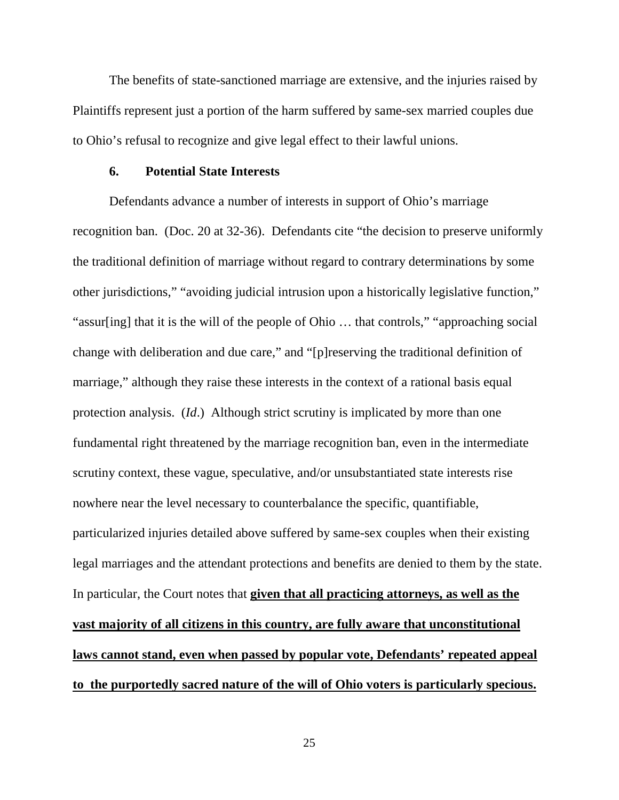The benefits of state-sanctioned marriage are extensive, and the injuries raised by Plaintiffs represent just a portion of the harm suffered by same-sex married couples due to Ohio's refusal to recognize and give legal effect to their lawful unions.

#### **6. Potential State Interests**

 Defendants advance a number of interests in support of Ohio's marriage recognition ban. (Doc. 20 at 32-36). Defendants cite "the decision to preserve uniformly the traditional definition of marriage without regard to contrary determinations by some other jurisdictions," "avoiding judicial intrusion upon a historically legislative function," "assur[ing] that it is the will of the people of Ohio … that controls," "approaching social change with deliberation and due care," and "[p]reserving the traditional definition of marriage," although they raise these interests in the context of a rational basis equal protection analysis. (*Id*.) Although strict scrutiny is implicated by more than one fundamental right threatened by the marriage recognition ban, even in the intermediate scrutiny context, these vague, speculative, and/or unsubstantiated state interests rise nowhere near the level necessary to counterbalance the specific, quantifiable, particularized injuries detailed above suffered by same-sex couples when their existing legal marriages and the attendant protections and benefits are denied to them by the state. In particular, the Court notes that **given that all practicing attorneys, as well as the vast majority of all citizens in this country, are fully aware that unconstitutional laws cannot stand, even when passed by popular vote, Defendants' repeated appeal to the purportedly sacred nature of the will of Ohio voters is particularly specious.**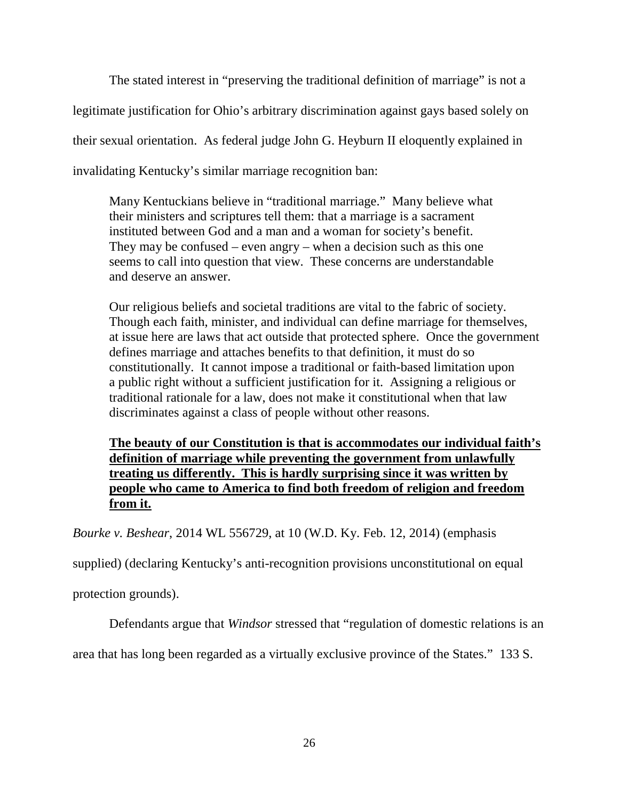The stated interest in "preserving the traditional definition of marriage" is not a legitimate justification for Ohio's arbitrary discrimination against gays based solely on their sexual orientation. As federal judge John G. Heyburn II eloquently explained in invalidating Kentucky's similar marriage recognition ban:

Many Kentuckians believe in "traditional marriage." Many believe what their ministers and scriptures tell them: that a marriage is a sacrament instituted between God and a man and a woman for society's benefit. They may be confused – even angry – when a decision such as this one seems to call into question that view. These concerns are understandable and deserve an answer.

Our religious beliefs and societal traditions are vital to the fabric of society. Though each faith, minister, and individual can define marriage for themselves, at issue here are laws that act outside that protected sphere. Once the government defines marriage and attaches benefits to that definition, it must do so constitutionally. It cannot impose a traditional or faith-based limitation upon a public right without a sufficient justification for it. Assigning a religious or traditional rationale for a law, does not make it constitutional when that law discriminates against a class of people without other reasons.

**The beauty of our Constitution is that is accommodates our individual faith's definition of marriage while preventing the government from unlawfully treating us differently. This is hardly surprising since it was written by people who came to America to find both freedom of religion and freedom from it.**

*Bourke v. Beshear*, 2014 WL 556729, at 10 (W.D. Ky. Feb. 12, 2014) (emphasis

supplied) (declaring Kentucky's anti-recognition provisions unconstitutional on equal

protection grounds).

Defendants argue that *Windsor* stressed that "regulation of domestic relations is an

area that has long been regarded as a virtually exclusive province of the States." 133 S.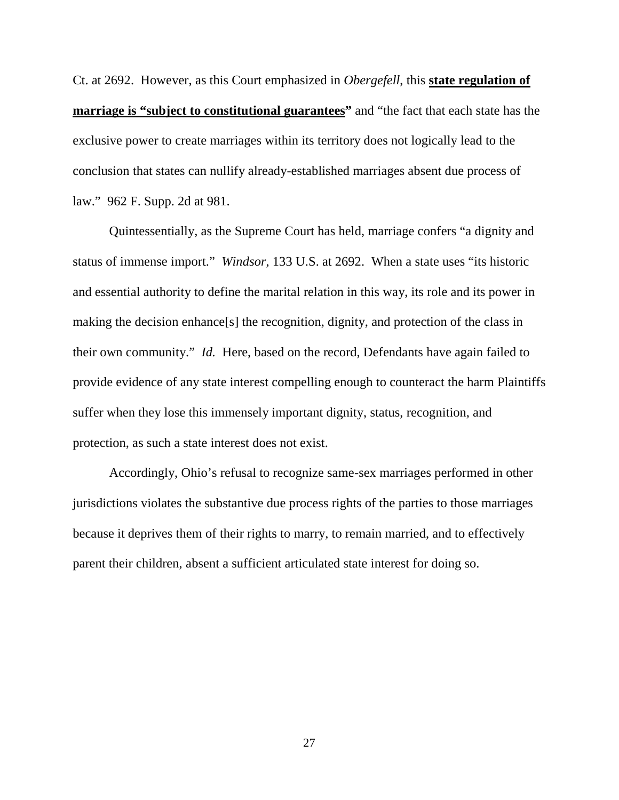Ct. at 2692. However, as this Court emphasized in *Obergefell*, this **state regulation of marriage is "subject to constitutional guarantees"** and "the fact that each state has the exclusive power to create marriages within its territory does not logically lead to the conclusion that states can nullify already-established marriages absent due process of law." 962 F. Supp. 2d at 981.

Quintessentially, as the Supreme Court has held, marriage confers "a dignity and status of immense import." *Windsor*, 133 U.S. at 2692. When a state uses "its historic and essential authority to define the marital relation in this way, its role and its power in making the decision enhance[s] the recognition, dignity, and protection of the class in their own community." *Id.* Here, based on the record, Defendants have again failed to provide evidence of any state interest compelling enough to counteract the harm Plaintiffs suffer when they lose this immensely important dignity, status, recognition, and protection, as such a state interest does not exist.

 Accordingly, Ohio's refusal to recognize same-sex marriages performed in other jurisdictions violates the substantive due process rights of the parties to those marriages because it deprives them of their rights to marry, to remain married, and to effectively parent their children, absent a sufficient articulated state interest for doing so.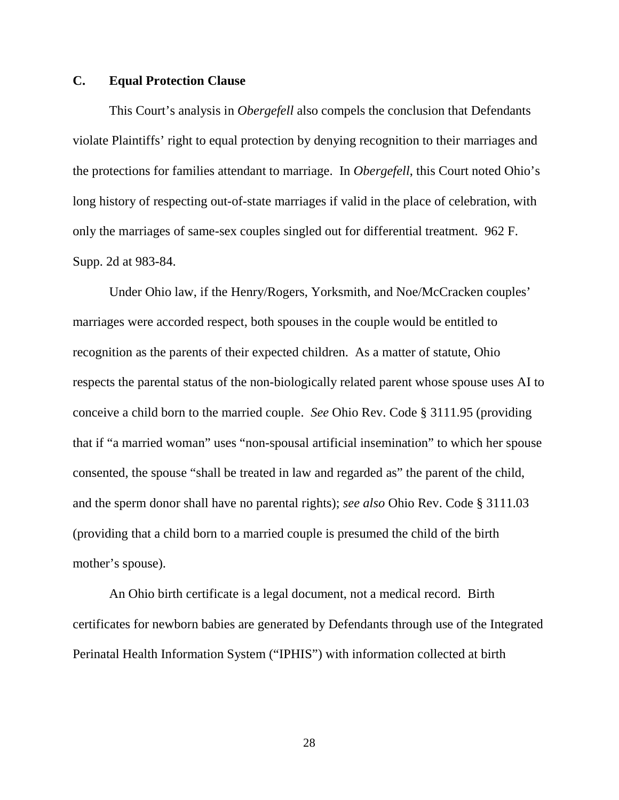## **C. Equal Protection Clause**

 This Court's analysis in *Obergefell* also compels the conclusion that Defendants violate Plaintiffs' right to equal protection by denying recognition to their marriages and the protections for families attendant to marriage. In *Obergefell*, this Court noted Ohio's long history of respecting out-of-state marriages if valid in the place of celebration, with only the marriages of same-sex couples singled out for differential treatment. 962 F. Supp. 2d at 983-84.

 Under Ohio law, if the Henry/Rogers, Yorksmith, and Noe/McCracken couples' marriages were accorded respect, both spouses in the couple would be entitled to recognition as the parents of their expected children. As a matter of statute, Ohio respects the parental status of the non-biologically related parent whose spouse uses AI to conceive a child born to the married couple. *See* Ohio Rev. Code § 3111.95 (providing that if "a married woman" uses "non-spousal artificial insemination" to which her spouse consented, the spouse "shall be treated in law and regarded as" the parent of the child, and the sperm donor shall have no parental rights); *see also* Ohio Rev. Code § 3111.03 (providing that a child born to a married couple is presumed the child of the birth mother's spouse).

An Ohio birth certificate is a legal document, not a medical record. Birth certificates for newborn babies are generated by Defendants through use of the Integrated Perinatal Health Information System ("IPHIS") with information collected at birth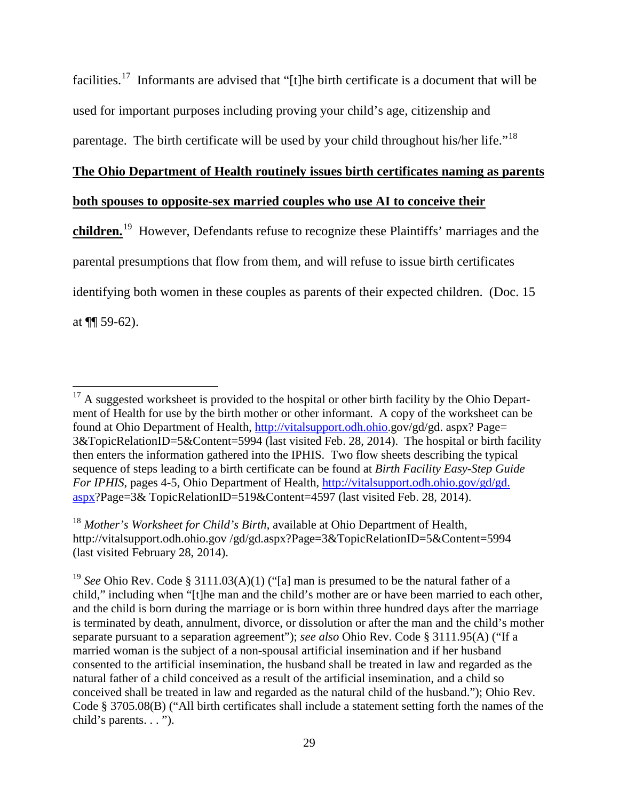facilities.[17](#page-28-0) Informants are advised that "[t]he birth certificate is a document that will be used for important purposes including proving your child's age, citizenship and parentage. The birth certificate will be used by your child throughout his/her life."<sup>[18](#page-28-1)</sup>

#### **The Ohio Department of Health routinely issues birth certificates naming as parents**

## **both spouses to opposite-sex married couples who use AI to conceive their**

 $\overline{a}$ 

**children.**[19](#page-28-2) However, Defendants refuse to recognize these Plaintiffs' marriages and the parental presumptions that flow from them, and will refuse to issue birth certificates identifying both women in these couples as parents of their expected children. (Doc. 15 at  $\P$ [ 59-62).

<span id="page-28-0"></span> $17$  A suggested worksheet is provided to the hospital or other birth facility by the Ohio Department of Health for use by the birth mother or other informant. A copy of the worksheet can be found at Ohio Department of Health, [http://vitalsupport.odh.ohio.](http://vitalsupport.odh.ohio/)gov/gd/gd. aspx? Page= 3&TopicRelationID=5&Content=5994 (last visited Feb. 28, 2014). The hospital or birth facility then enters the information gathered into the IPHIS. Two flow sheets describing the typical sequence of steps leading to a birth certificate can be found at *Birth Facility Easy-Step Guide For IPHIS*, pages 4-5, Ohio Department of Health, http://vitalsupport.odh.ohio.gov/gd/gd. [aspx?](http://vitalsupport.odh.ohio.gov/gd/gd.%20aspx)Page=3& TopicRelationID=519&Content=4597 (last visited Feb. 28, 2014).

<span id="page-28-1"></span><sup>18</sup> *Mother's Worksheet for Child's Birth*, available at Ohio Department of Health, http://vitalsupport.odh.ohio.gov /gd/gd.aspx?Page=3&TopicRelationID=5&Content=5994 (last visited February 28, 2014).

<span id="page-28-2"></span><sup>19</sup> *See* Ohio Rev. Code § 3111.03(A)(1) ("[a] man is presumed to be the natural father of a child," including when "[t]he man and the child's mother are or have been married to each other, and the child is born during the marriage or is born within three hundred days after the marriage is terminated by death, annulment, divorce, or dissolution or after the man and the child's mother separate pursuant to a separation agreement"); *see also* Ohio Rev. Code § 3111.95(A) ("If a married woman is the subject of a non-spousal artificial insemination and if her husband consented to the artificial insemination, the husband shall be treated in law and regarded as the natural father of a child conceived as a result of the artificial insemination, and a child so conceived shall be treated in law and regarded as the natural child of the husband."); Ohio Rev. Code § 3705.08(B) ("All birth certificates shall include a statement setting forth the names of the child's parents. . . ").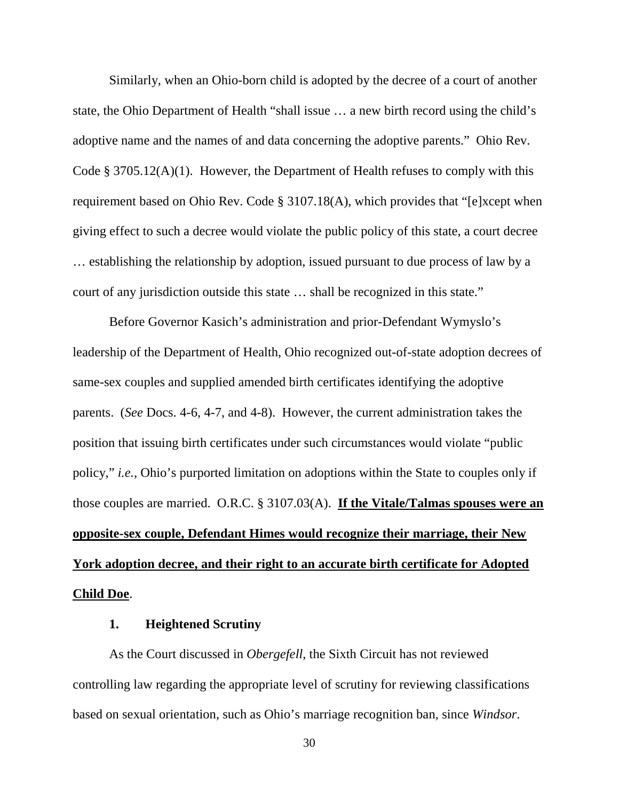Similarly, when an Ohio-born child is adopted by the decree of a court of another state, the Ohio Department of Health "shall issue … a new birth record using the child's adoptive name and the names of and data concerning the adoptive parents." Ohio Rev. Code § 3705.12(A)(1). However, the Department of Health refuses to comply with this requirement based on Ohio Rev. Code § 3107.18(A), which provides that "[e]xcept when giving effect to such a decree would violate the public policy of this state, a court decree … establishing the relationship by adoption, issued pursuant to due process of law by a court of any jurisdiction outside this state … shall be recognized in this state."

 Before Governor Kasich's administration and prior-Defendant Wymyslo's leadership of the Department of Health, Ohio recognized out-of-state adoption decrees of same-sex couples and supplied amended birth certificates identifying the adoptive parents. (*See* Docs. 4-6, 4-7, and 4-8). However, the current administration takes the position that issuing birth certificates under such circumstances would violate "public policy," *i.e.*, Ohio's purported limitation on adoptions within the State to couples only if those couples are married. O.R.C. § 3107.03(A). **If the Vitale/Talmas spouses were an opposite-sex couple, Defendant Himes would recognize their marriage, their New York adoption decree, and their right to an accurate birth certificate for Adopted Child Doe**.

## **1. Heightened Scrutiny**

 As the Court discussed in *Obergefell*, the Sixth Circuit has not reviewed controlling law regarding the appropriate level of scrutiny for reviewing classifications based on sexual orientation, such as Ohio's marriage recognition ban, since *Windsor*.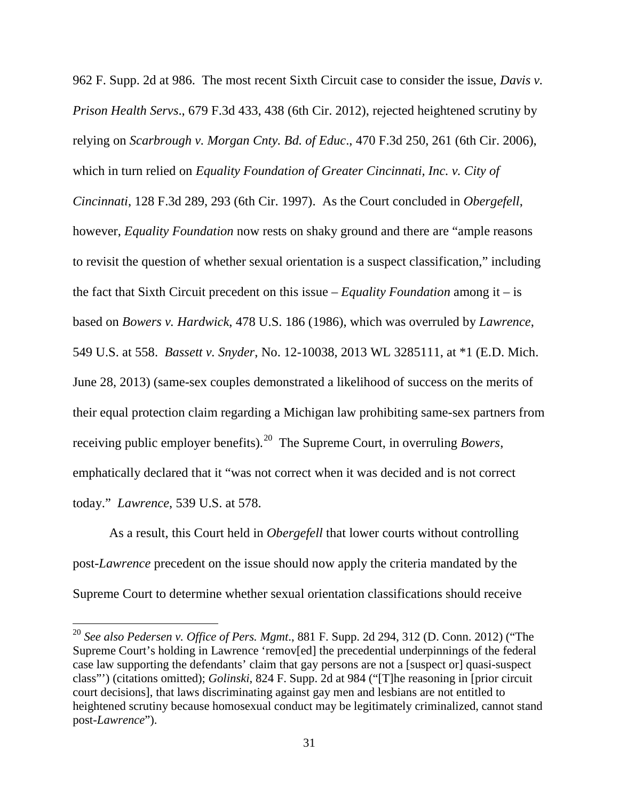962 F. Supp. 2d at 986. The most recent Sixth Circuit case to consider the issue, *Davis v. Prison Health Servs*., 679 F.3d 433, 438 (6th Cir. 2012), rejected heightened scrutiny by relying on *Scarbrough v. Morgan Cnty. Bd. of Educ*., 470 F.3d 250, 261 (6th Cir. 2006), which in turn relied on *Equality Foundation of Greater Cincinnati, Inc. v. City of Cincinnati*, 128 F.3d 289, 293 (6th Cir. 1997). As the Court concluded in *Obergefell*, however, *Equality Foundation* now rests on shaky ground and there are "ample reasons to revisit the question of whether sexual orientation is a suspect classification," including the fact that Sixth Circuit precedent on this issue – *Equality Foundation* among it – is based on *Bowers v. Hardwick*, 478 U.S. 186 (1986), which was overruled by *Lawrence*, 549 U.S. at 558. *Bassett v. Snyder*, No. 12-10038, 2013 WL 3285111, at \*1 (E.D. Mich. June 28, 2013) (same-sex couples demonstrated a likelihood of success on the merits of their equal protection claim regarding a Michigan law prohibiting same-sex partners from receiving public employer benefits).[20](#page-30-0) The Supreme Court, in overruling *Bowers*, emphatically declared that it "was not correct when it was decided and is not correct today." *Lawrence*, 539 U.S. at 578.

 As a result, this Court held in *Obergefell* that lower courts without controlling post-*Lawrence* precedent on the issue should now apply the criteria mandated by the Supreme Court to determine whether sexual orientation classifications should receive

 $\overline{a}$ 

<span id="page-30-0"></span><sup>20</sup> *See also Pedersen v. Office of Pers. Mgmt*., 881 F. Supp. 2d 294, 312 (D. Conn. 2012) ("The Supreme Court's holding in Lawrence 'remov[ed] the precedential underpinnings of the federal case law supporting the defendants' claim that gay persons are not a [suspect or] quasi-suspect class"') (citations omitted); *Golinski*, 824 F. Supp. 2d at 984 ("[T]he reasoning in [prior circuit court decisions], that laws discriminating against gay men and lesbians are not entitled to heightened scrutiny because homosexual conduct may be legitimately criminalized, cannot stand post-*Lawrence*").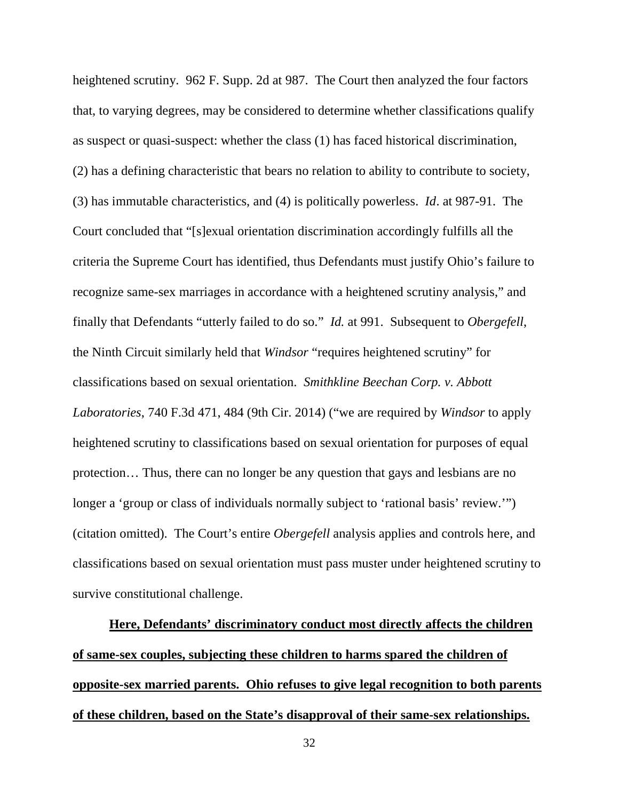heightened scrutiny. 962 F. Supp. 2d at 987. The Court then analyzed the four factors that, to varying degrees, may be considered to determine whether classifications qualify as suspect or quasi-suspect: whether the class (1) has faced historical discrimination, (2) has a defining characteristic that bears no relation to ability to contribute to society, (3) has immutable characteristics, and (4) is politically powerless. *Id*. at 987-91. The Court concluded that "[s]exual orientation discrimination accordingly fulfills all the criteria the Supreme Court has identified, thus Defendants must justify Ohio's failure to recognize same-sex marriages in accordance with a heightened scrutiny analysis," and finally that Defendants "utterly failed to do so." *Id.* at 991. Subsequent to *Obergefell*, the Ninth Circuit similarly held that *Windsor* "requires heightened scrutiny" for classifications based on sexual orientation. *Smithkline Beechan Corp. v. Abbott Laboratories*, 740 F.3d 471, 484 (9th Cir. 2014) ("we are required by *Windsor* to apply heightened scrutiny to classifications based on sexual orientation for purposes of equal protection… Thus, there can no longer be any question that gays and lesbians are no longer a 'group or class of individuals normally subject to 'rational basis' review.'") (citation omitted). The Court's entire *Obergefell* analysis applies and controls here, and classifications based on sexual orientation must pass muster under heightened scrutiny to survive constitutional challenge.

**Here, Defendants' discriminatory conduct most directly affects the children of same-sex couples, subjecting these children to harms spared the children of opposite-sex married parents. Ohio refuses to give legal recognition to both parents of these children, based on the State's disapproval of their same-sex relationships.**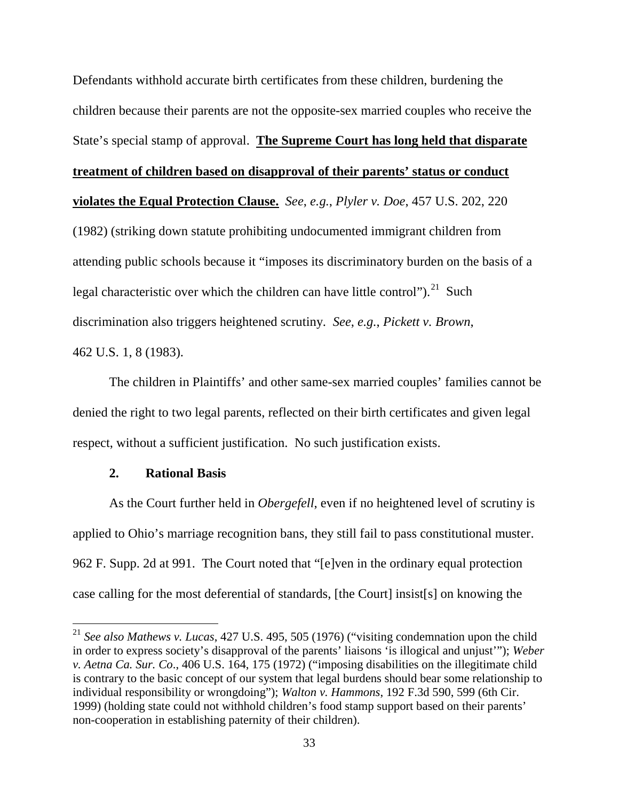Defendants withhold accurate birth certificates from these children, burdening the children because their parents are not the opposite-sex married couples who receive the State's special stamp of approval. **The Supreme Court has long held that disparate treatment of children based on disapproval of their parents' status or conduct violates the Equal Protection Clause.** *See*, *e.g.*, *Plyler v. Doe*, 457 U.S. 202, 220 (1982) (striking down statute prohibiting undocumented immigrant children from attending public schools because it "imposes its discriminatory burden on the basis of a legal characteristic over which the children can have little control"). $^{21}$  $^{21}$  $^{21}$  Such discrimination also triggers heightened scrutiny. *See*, *e.g.*, *Pickett v. Brown*, 462 U.S. 1, 8 (1983).

 The children in Plaintiffs' and other same-sex married couples' families cannot be denied the right to two legal parents, reflected on their birth certificates and given legal respect, without a sufficient justification. No such justification exists.

## **2. Rational Basis**

 $\overline{a}$ 

 As the Court further held in *Obergefell*, even if no heightened level of scrutiny is applied to Ohio's marriage recognition bans, they still fail to pass constitutional muster. 962 F. Supp. 2d at 991. The Court noted that "[e]ven in the ordinary equal protection case calling for the most deferential of standards, [the Court] insist[s] on knowing the

<span id="page-32-0"></span><sup>21</sup> *See also Mathews v. Lucas*, 427 U.S. 495, 505 (1976) ("visiting condemnation upon the child in order to express society's disapproval of the parents' liaisons 'is illogical and unjust'"); *Weber v. Aetna Ca. Sur. Co*., 406 U.S. 164, 175 (1972) ("imposing disabilities on the illegitimate child is contrary to the basic concept of our system that legal burdens should bear some relationship to individual responsibility or wrongdoing"); *Walton v. Hammons*, 192 F.3d 590, 599 (6th Cir. 1999) (holding state could not withhold children's food stamp support based on their parents' non-cooperation in establishing paternity of their children).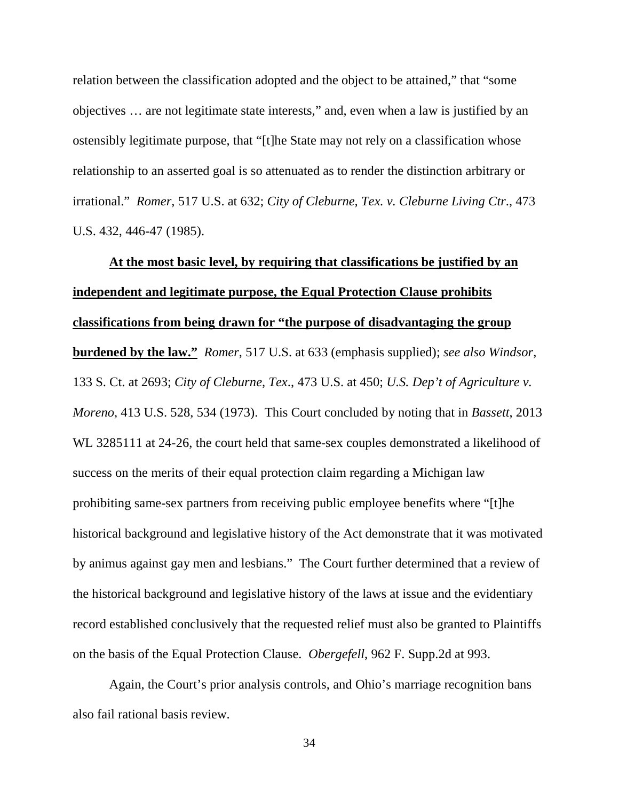relation between the classification adopted and the object to be attained," that "some objectives … are not legitimate state interests," and, even when a law is justified by an ostensibly legitimate purpose, that "[t]he State may not rely on a classification whose relationship to an asserted goal is so attenuated as to render the distinction arbitrary or irrational." *Romer*, 517 U.S. at 632; *City of Cleburne, Tex. v. Cleburne Living Ctr*., 473 U.S. 432, 446-47 (1985).

**At the most basic level, by requiring that classifications be justified by an independent and legitimate purpose, the Equal Protection Clause prohibits classifications from being drawn for "the purpose of disadvantaging the group burdened by the law."** *Romer*, 517 U.S. at 633 (emphasis supplied); *see also Windsor*, 133 S. Ct. at 2693; *City of Cleburne, Tex*., 473 U.S. at 450; *U.S. Dep't of Agriculture v. Moreno*, 413 U.S. 528, 534 (1973). This Court concluded by noting that in *Bassett*, 2013 WL 3285111 at 24-26, the court held that same-sex couples demonstrated a likelihood of success on the merits of their equal protection claim regarding a Michigan law prohibiting same-sex partners from receiving public employee benefits where "[t]he historical background and legislative history of the Act demonstrate that it was motivated by animus against gay men and lesbians." The Court further determined that a review of the historical background and legislative history of the laws at issue and the evidentiary record established conclusively that the requested relief must also be granted to Plaintiffs on the basis of the Equal Protection Clause. *Obergefell*, 962 F. Supp.2d at 993.

 Again, the Court's prior analysis controls, and Ohio's marriage recognition bans also fail rational basis review.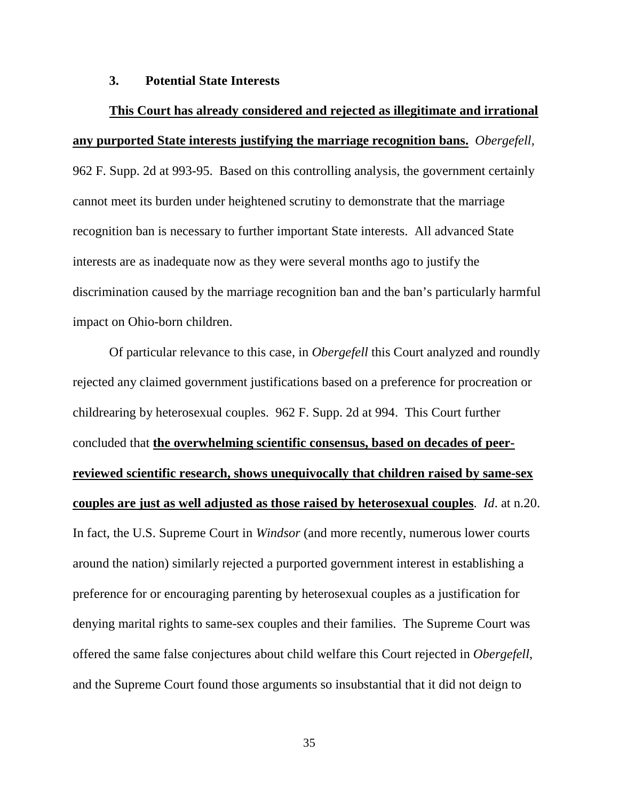#### **3. Potential State Interests**

# **This Court has already considered and rejected as illegitimate and irrational any purported State interests justifying the marriage recognition bans.** *Obergefell,*

962 F. Supp. 2d at 993-95. Based on this controlling analysis, the government certainly cannot meet its burden under heightened scrutiny to demonstrate that the marriage recognition ban is necessary to further important State interests. All advanced State interests are as inadequate now as they were several months ago to justify the discrimination caused by the marriage recognition ban and the ban's particularly harmful impact on Ohio-born children.

 Of particular relevance to this case, in *Obergefell* this Court analyzed and roundly rejected any claimed government justifications based on a preference for procreation or childrearing by heterosexual couples. 962 F. Supp. 2d at 994. This Court further concluded that **the overwhelming scientific consensus, based on decades of peerreviewed scientific research, shows unequivocally that children raised by same-sex couples are just as well adjusted as those raised by heterosexual couples**. *Id*. at n.20. In fact, the U.S. Supreme Court in *Windsor* (and more recently, numerous lower courts around the nation) similarly rejected a purported government interest in establishing a preference for or encouraging parenting by heterosexual couples as a justification for denying marital rights to same-sex couples and their families. The Supreme Court was offered the same false conjectures about child welfare this Court rejected in *Obergefell*, and the Supreme Court found those arguments so insubstantial that it did not deign to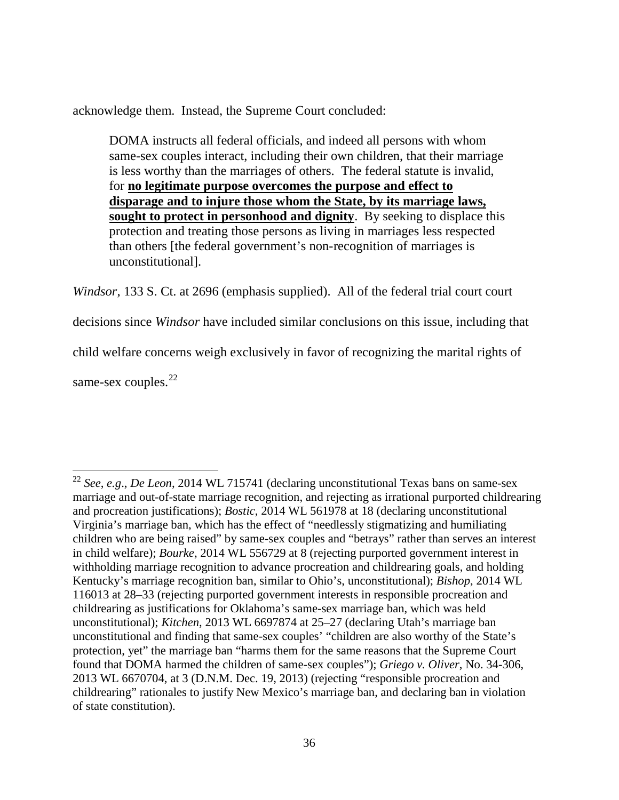acknowledge them. Instead, the Supreme Court concluded:

DOMA instructs all federal officials, and indeed all persons with whom same-sex couples interact, including their own children, that their marriage is less worthy than the marriages of others. The federal statute is invalid, for **no legitimate purpose overcomes the purpose and effect to disparage and to injure those whom the State, by its marriage laws, sought to protect in personhood and dignity**. By seeking to displace this protection and treating those persons as living in marriages less respected than others [the federal government's non-recognition of marriages is unconstitutional].

*Windsor*, 133 S. Ct. at 2696 (emphasis supplied). All of the federal trial court court decisions since *Windsor* have included similar conclusions on this issue, including that child welfare concerns weigh exclusively in favor of recognizing the marital rights of same-sex couples. $22$ 

<span id="page-35-0"></span> $\overline{a}$ <sup>22</sup> *See*, *e.g*., *De Leon*, 2014 WL 715741 (declaring unconstitutional Texas bans on same-sex marriage and out-of-state marriage recognition, and rejecting as irrational purported childrearing and procreation justifications); *Bostic*, 2014 WL 561978 at 18 (declaring unconstitutional Virginia's marriage ban, which has the effect of "needlessly stigmatizing and humiliating children who are being raised" by same-sex couples and "betrays" rather than serves an interest in child welfare); *Bourke*, 2014 WL 556729 at 8 (rejecting purported government interest in withholding marriage recognition to advance procreation and childrearing goals, and holding Kentucky's marriage recognition ban, similar to Ohio's, unconstitutional); *Bishop*, 2014 WL 116013 at 28–33 (rejecting purported government interests in responsible procreation and childrearing as justifications for Oklahoma's same-sex marriage ban, which was held unconstitutional); *Kitchen*, 2013 WL 6697874 at 25–27 (declaring Utah's marriage ban unconstitutional and finding that same-sex couples' "children are also worthy of the State's protection, yet" the marriage ban "harms them for the same reasons that the Supreme Court found that DOMA harmed the children of same-sex couples"); *Griego v. Oliver*, No. 34-306, 2013 WL 6670704, at 3 (D.N.M. Dec. 19, 2013) (rejecting "responsible procreation and childrearing" rationales to justify New Mexico's marriage ban, and declaring ban in violation of state constitution).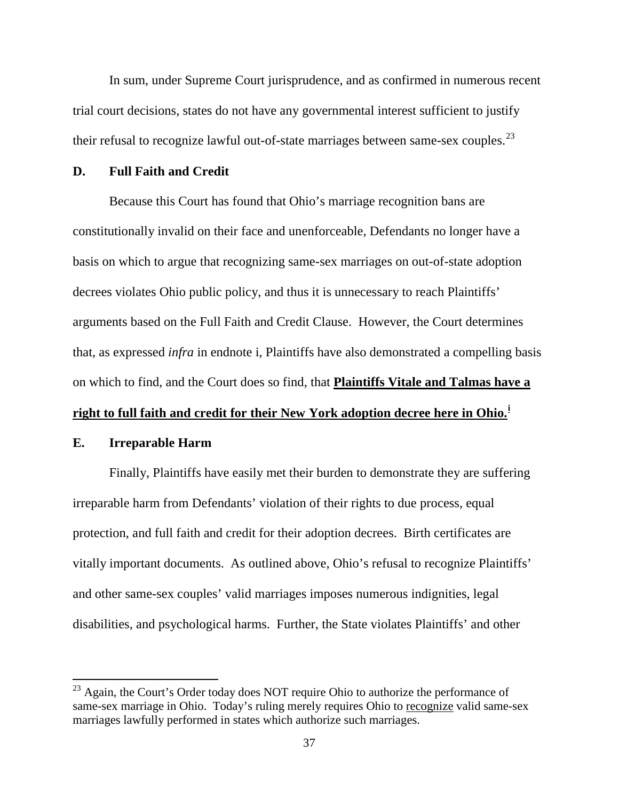In sum, under Supreme Court jurisprudence, and as confirmed in numerous recent trial court decisions, states do not have any governmental interest sufficient to justify their refusal to recognize lawful out-of-state marriages between same-sex couples.<sup>[23](#page-36-0)</sup>

#### **D. Full Faith and Credit**

 Because this Court has found that Ohio's marriage recognition bans are constitutionally invalid on their face and unenforceable, Defendants no longer have a basis on which to argue that recognizing same-sex marriages on out-of-state adoption decrees violates Ohio public policy, and thus it is unnecessary to reach Plaintiffs' arguments based on the Full Faith and Credit Clause. However, the Court determines that, as expressed *infra* in endnote i, Plaintiffs have also demonstrated a compelling basis on which to find, and the Court does so find, that **Plaintiffs Vitale and Talmas have a** 

# **right to full faith and credit for their New York adoption decree here in Ohio.[i](#page-40-0)**

#### **E. Irreparable Harm**

 $\overline{a}$ 

Finally, Plaintiffs have easily met their burden to demonstrate they are suffering irreparable harm from Defendants' violation of their rights to due process, equal protection, and full faith and credit for their adoption decrees. Birth certificates are vitally important documents. As outlined above, Ohio's refusal to recognize Plaintiffs' and other same-sex couples' valid marriages imposes numerous indignities, legal disabilities, and psychological harms. Further, the State violates Plaintiffs' and other

<span id="page-36-0"></span> $^{23}$  Again, the Court's Order today does NOT require Ohio to authorize the performance of same-sex marriage in Ohio. Today's ruling merely requires Ohio to recognize valid same-sex marriages lawfully performed in states which authorize such marriages.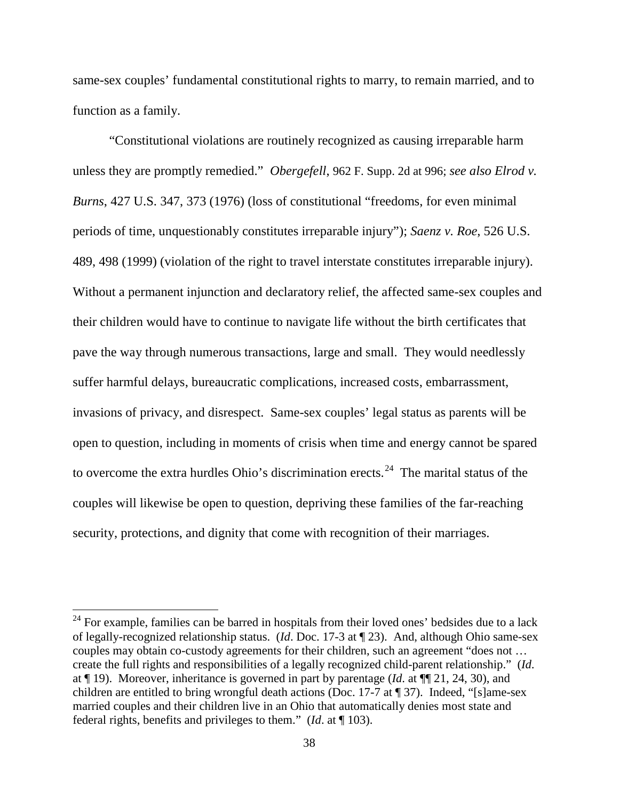same-sex couples' fundamental constitutional rights to marry, to remain married, and to function as a family.

 "Constitutional violations are routinely recognized as causing irreparable harm unless they are promptly remedied." *Obergefell*, 962 F. Supp. 2d at 996; *see also Elrod v. Burns*, 427 U.S. 347, 373 (1976) (loss of constitutional "freedoms, for even minimal periods of time, unquestionably constitutes irreparable injury"); *Saenz v. Roe*, 526 U.S. 489, 498 (1999) (violation of the right to travel interstate constitutes irreparable injury). Without a permanent injunction and declaratory relief, the affected same-sex couples and their children would have to continue to navigate life without the birth certificates that pave the way through numerous transactions, large and small. They would needlessly suffer harmful delays, bureaucratic complications, increased costs, embarrassment, invasions of privacy, and disrespect. Same-sex couples' legal status as parents will be open to question, including in moments of crisis when time and energy cannot be spared to overcome the extra hurdles Ohio's discrimination erects.<sup>[24](#page-37-0)</sup> The marital status of the couples will likewise be open to question, depriving these families of the far-reaching security, protections, and dignity that come with recognition of their marriages.

<u>.</u>

<span id="page-37-0"></span> $24$  For example, families can be barred in hospitals from their loved ones' bedsides due to a lack of legally-recognized relationship status. (*Id*. Doc. 17-3 at ¶ 23). And, although Ohio same-sex couples may obtain co-custody agreements for their children, such an agreement "does not … create the full rights and responsibilities of a legally recognized child-parent relationship." (*Id*. at ¶ 19). Moreover, inheritance is governed in part by parentage (*Id*. at ¶¶ 21, 24, 30), and children are entitled to bring wrongful death actions (Doc. 17-7 at ¶ 37). Indeed, "[s]ame-sex married couples and their children live in an Ohio that automatically denies most state and federal rights, benefits and privileges to them." (*Id*. at ¶ 103).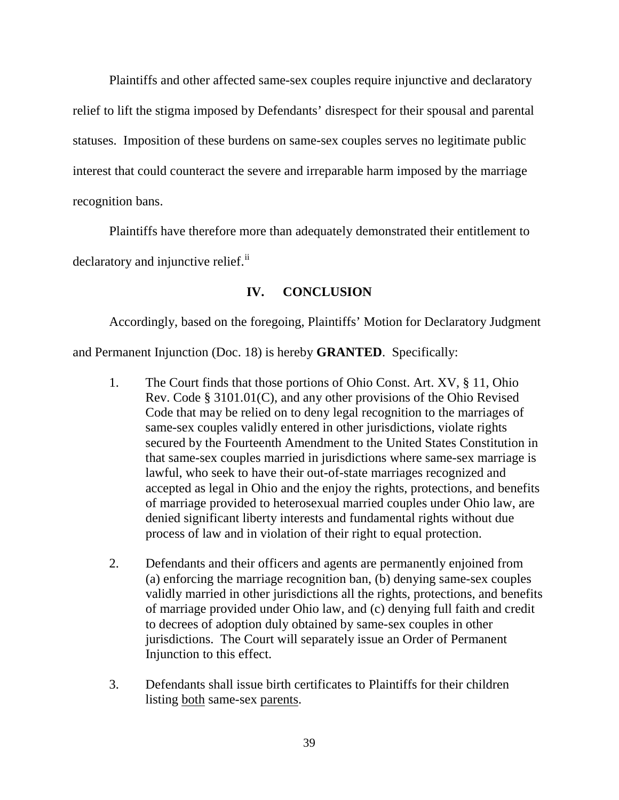Plaintiffs and other affected same-sex couples require injunctive and declaratory relief to lift the stigma imposed by Defendants' disrespect for their spousal and parental statuses. Imposition of these burdens on same-sex couples serves no legitimate public interest that could counteract the severe and irreparable harm imposed by the marriage recognition bans.

 Plaintiffs have therefore more than adequately demonstrated their entitlement to declaratory and injunctive relief.<sup>[ii](#page-41-0)</sup>

# **IV. CONCLUSION**

 Accordingly, based on the foregoing, Plaintiffs' Motion for Declaratory Judgment and Permanent Injunction (Doc. 18) is hereby **GRANTED**. Specifically:

- 1. The Court finds that those portions of Ohio Const. Art. XV, § 11, Ohio Rev. Code § 3101.01(C), and any other provisions of the Ohio Revised Code that may be relied on to deny legal recognition to the marriages of same-sex couples validly entered in other jurisdictions, violate rights secured by the Fourteenth Amendment to the United States Constitution in that same-sex couples married in jurisdictions where same-sex marriage is lawful, who seek to have their out-of-state marriages recognized and accepted as legal in Ohio and the enjoy the rights, protections, and benefits of marriage provided to heterosexual married couples under Ohio law, are denied significant liberty interests and fundamental rights without due process of law and in violation of their right to equal protection.
- 2. Defendants and their officers and agents are permanently enjoined from (a) enforcing the marriage recognition ban, (b) denying same-sex couples validly married in other jurisdictions all the rights, protections, and benefits of marriage provided under Ohio law, and (c) denying full faith and credit to decrees of adoption duly obtained by same-sex couples in other jurisdictions. The Court will separately issue an Order of Permanent Injunction to this effect.
- 3. Defendants shall issue birth certificates to Plaintiffs for their children listing both same-sex parents.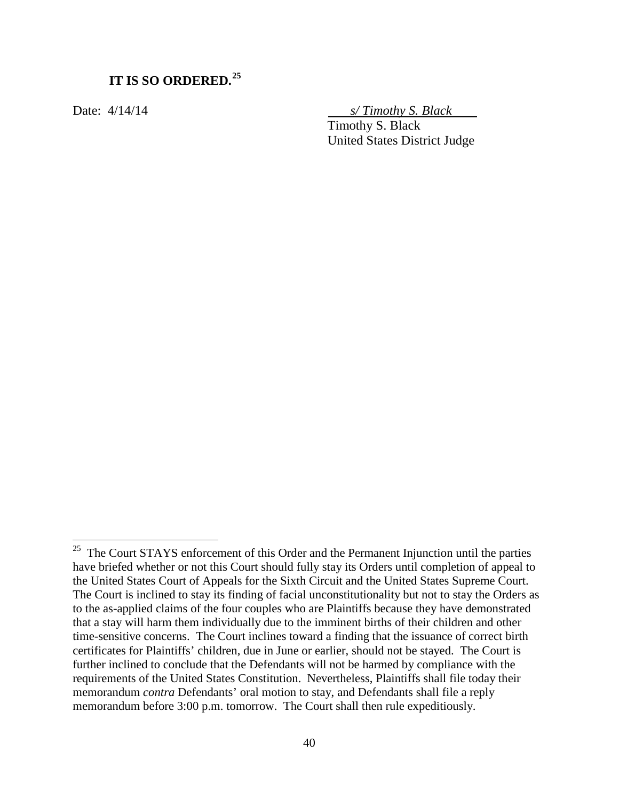# **IT IS SO ORDERED.[25](#page-39-0)**

 $\overline{a}$ 

Date: 4/14/14 *s/ Timothy S. Black* 

 Timothy S. Black United States District Judge

<span id="page-39-0"></span> $25$  The Court STAYS enforcement of this Order and the Permanent Injunction until the parties have briefed whether or not this Court should fully stay its Orders until completion of appeal to the United States Court of Appeals for the Sixth Circuit and the United States Supreme Court. The Court is inclined to stay its finding of facial unconstitutionality but not to stay the Orders as to the as-applied claims of the four couples who are Plaintiffs because they have demonstrated that a stay will harm them individually due to the imminent births of their children and other time-sensitive concerns. The Court inclines toward a finding that the issuance of correct birth certificates for Plaintiffs' children, due in June or earlier, should not be stayed. The Court is further inclined to conclude that the Defendants will not be harmed by compliance with the requirements of the United States Constitution. Nevertheless, Plaintiffs shall file today their memorandum *contra* Defendants' oral motion to stay, and Defendants shall file a reply memorandum before 3:00 p.m. tomorrow. The Court shall then rule expeditiously.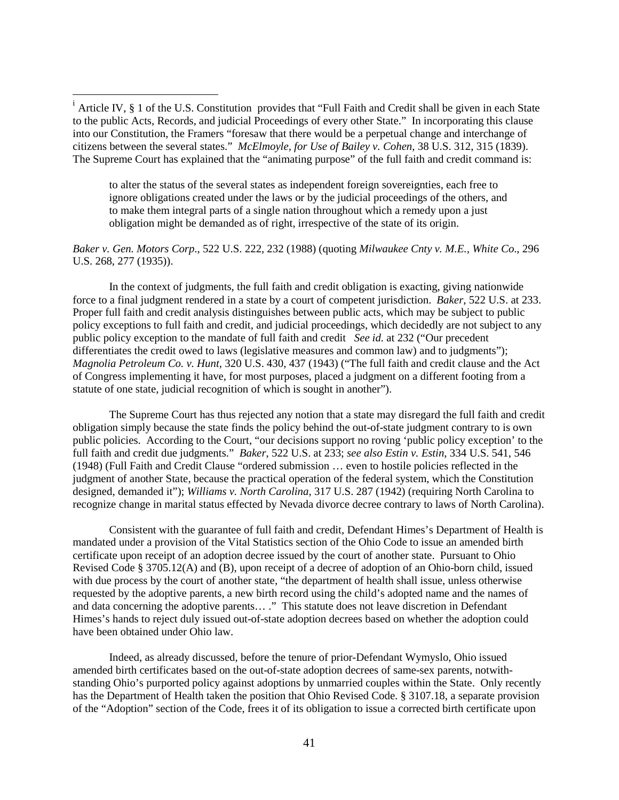$\overline{a}$ 

to alter the status of the several states as independent foreign sovereignties, each free to ignore obligations created under the laws or by the judicial proceedings of the others, and to make them integral parts of a single nation throughout which a remedy upon a just obligation might be demanded as of right, irrespective of the state of its origin.

#### *Baker v. Gen. Motors Corp*., 522 U.S. 222, 232 (1988) (quoting *Milwaukee Cnty v. M.E., White Co*., 296 U.S. 268, 277 (1935)).

 In the context of judgments, the full faith and credit obligation is exacting, giving nationwide force to a final judgment rendered in a state by a court of competent jurisdiction. *Baker*, 522 U.S. at 233. Proper full faith and credit analysis distinguishes between public acts, which may be subject to public policy exceptions to full faith and credit, and judicial proceedings, which decidedly are not subject to any public policy exception to the mandate of full faith and credit *See id.* at 232 ("Our precedent differentiates the credit owed to laws (legislative measures and common law) and to judgments"); *Magnolia Petroleum Co. v. Hunt*, 320 U.S. 430, 437 (1943) ("The full faith and credit clause and the Act of Congress implementing it have, for most purposes, placed a judgment on a different footing from a statute of one state, judicial recognition of which is sought in another").

 The Supreme Court has thus rejected any notion that a state may disregard the full faith and credit obligation simply because the state finds the policy behind the out-of-state judgment contrary to is own public policies. According to the Court, "our decisions support no roving 'public policy exception' to the full faith and credit due judgments." *Baker*, 522 U.S. at 233; *see also Estin v. Estin*, 334 U.S. 541, 546 (1948) (Full Faith and Credit Clause "ordered submission … even to hostile policies reflected in the judgment of another State, because the practical operation of the federal system, which the Constitution designed, demanded it"); *Williams v. North Carolina*, 317 U.S. 287 (1942) (requiring North Carolina to recognize change in marital status effected by Nevada divorce decree contrary to laws of North Carolina).

Consistent with the guarantee of full faith and credit, Defendant Himes's Department of Health is mandated under a provision of the Vital Statistics section of the Ohio Code to issue an amended birth certificate upon receipt of an adoption decree issued by the court of another state. Pursuant to Ohio Revised Code § 3705.12(A) and (B), upon receipt of a decree of adoption of an Ohio-born child, issued with due process by the court of another state, "the department of health shall issue, unless otherwise requested by the adoptive parents, a new birth record using the child's adopted name and the names of and data concerning the adoptive parents… ." This statute does not leave discretion in Defendant Himes's hands to reject duly issued out-of-state adoption decrees based on whether the adoption could have been obtained under Ohio law.

 Indeed, as already discussed, before the tenure of prior-Defendant Wymyslo, Ohio issued amended birth certificates based on the out-of-state adoption decrees of same-sex parents, notwithstanding Ohio's purported policy against adoptions by unmarried couples within the State. Only recently has the Department of Health taken the position that Ohio Revised Code. § 3107.18, a separate provision of the "Adoption" section of the Code, frees it of its obligation to issue a corrected birth certificate upon

<span id="page-40-0"></span><sup>&</sup>lt;sup>i</sup> Article IV, § 1 of the U.S. Constitution provides that "Full Faith and Credit shall be given in each State to the public Acts, Records, and judicial Proceedings of every other State." In incorporating this clause into our Constitution, the Framers "foresaw that there would be a perpetual change and interchange of citizens between the several states." *McElmoyle, for Use of Bailey v. Cohen*, 38 U.S. 312, 315 (1839). The Supreme Court has explained that the "animating purpose" of the full faith and credit command is: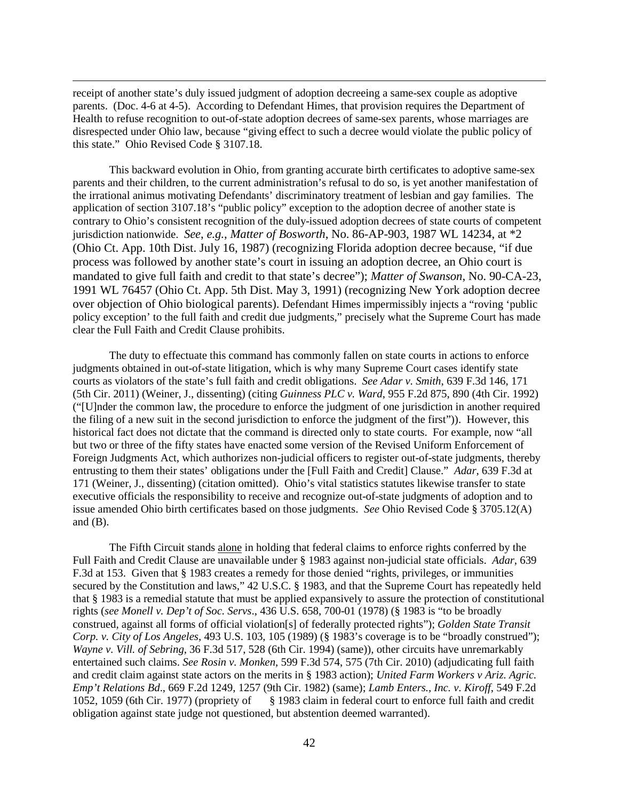receipt of another state's duly issued judgment of adoption decreeing a same-sex couple as adoptive parents. (Doc. 4-6 at 4-5). According to Defendant Himes, that provision requires the Department of Health to refuse recognition to out-of-state adoption decrees of same-sex parents, whose marriages are disrespected under Ohio law, because "giving effect to such a decree would violate the public policy of this state." Ohio Revised Code § 3107.18.

 $\overline{a}$ 

This backward evolution in Ohio, from granting accurate birth certificates to adoptive same-sex parents and their children, to the current administration's refusal to do so, is yet another manifestation of the irrational animus motivating Defendants' discriminatory treatment of lesbian and gay families. The application of section 3107.18's "public policy" exception to the adoption decree of another state is contrary to Ohio's consistent recognition of the duly-issued adoption decrees of state courts of competent jurisdiction nationwide. *See*, *e.g.*, *Matter of Bosworth*, No. 86-AP-903, 1987 WL 14234, at \*2 (Ohio Ct. App. 10th Dist. July 16, 1987) (recognizing Florida adoption decree because, "if due process was followed by another state's court in issuing an adoption decree, an Ohio court is mandated to give full faith and credit to that state's decree"); *Matter of Swanson*, No. 90-CA-23, 1991 WL 76457 (Ohio Ct. App. 5th Dist. May 3, 1991) (recognizing New York adoption decree over objection of Ohio biological parents). Defendant Himes impermissibly injects a "roving 'public policy exception' to the full faith and credit due judgments," precisely what the Supreme Court has made clear the Full Faith and Credit Clause prohibits.

 The duty to effectuate this command has commonly fallen on state courts in actions to enforce judgments obtained in out-of-state litigation, which is why many Supreme Court cases identify state courts as violators of the state's full faith and credit obligations. *See Adar v. Smith*, 639 F.3d 146, 171 (5th Cir. 2011) (Weiner, J., dissenting) (citing *Guinness PLC v. Ward*, 955 F.2d 875, 890 (4th Cir. 1992) ("[U]nder the common law, the procedure to enforce the judgment of one jurisdiction in another required the filing of a new suit in the second jurisdiction to enforce the judgment of the first")). However, this historical fact does not dictate that the command is directed only to state courts. For example, now "all but two or three of the fifty states have enacted some version of the Revised Uniform Enforcement of Foreign Judgments Act, which authorizes non-judicial officers to register out-of-state judgments, thereby entrusting to them their states' obligations under the [Full Faith and Credit] Clause." *Adar*, 639 F.3d at 171 (Weiner, J., dissenting) (citation omitted). Ohio's vital statistics statutes likewise transfer to state executive officials the responsibility to receive and recognize out-of-state judgments of adoption and to issue amended Ohio birth certificates based on those judgments. *See* Ohio Revised Code § 3705.12(A) and  $(B)$ .

<span id="page-41-0"></span> The Fifth Circuit stands alone in holding that federal claims to enforce rights conferred by the Full Faith and Credit Clause are unavailable under § 1983 against non-judicial state officials. *Adar*, 639 F.3d at 153. Given that § 1983 creates a remedy for those denied "rights, privileges, or immunities secured by the Constitution and laws," 42 U.S.C. § 1983, and that the Supreme Court has repeatedly held that § 1983 is a remedial statute that must be applied expansively to assure the protection of constitutional rights (*see Monell v. Dep't of Soc. Servs*., 436 U.S. 658, 700-01 (1978) (§ 1983 is "to be broadly construed, against all forms of official violation[s] of federally protected rights"); *Golden State Transit Corp. v. City of Los Angeles*, 493 U.S. 103, 105 (1989) (§ 1983's coverage is to be "broadly construed"); *Wayne v. Vill. of Sebring*, 36 F.3d 517, 528 (6th Cir. 1994) (same)), other circuits have unremarkably entertained such claims. *See Rosin v. Monken*, 599 F.3d 574, 575 (7th Cir. 2010) (adjudicating full faith and credit claim against state actors on the merits in § 1983 action); *United Farm Workers v Ariz. Agric. Emp't Relations Bd*., 669 F.2d 1249, 1257 (9th Cir. 1982) (same); *Lamb Enters., Inc. v. Kiroff*, 549 F.2d § 1983 claim in federal court to enforce full faith and credit obligation against state judge not questioned, but abstention deemed warranted).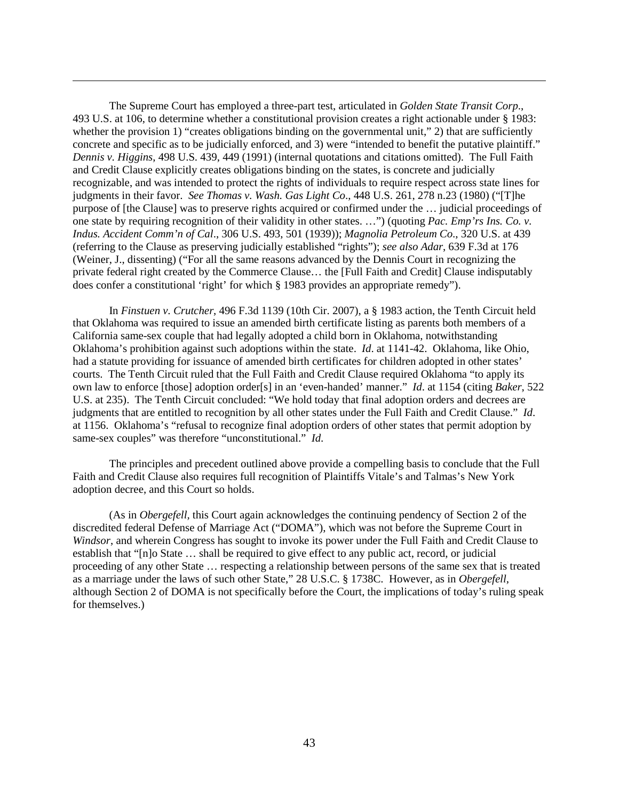The Supreme Court has employed a three-part test, articulated in *Golden State Transit Corp*., 493 U.S. at 106, to determine whether a constitutional provision creates a right actionable under § 1983: whether the provision 1) "creates obligations binding on the governmental unit," 2) that are sufficiently concrete and specific as to be judicially enforced, and 3) were "intended to benefit the putative plaintiff." *Dennis v. Higgins*, 498 U.S. 439, 449 (1991) (internal quotations and citations omitted). The Full Faith and Credit Clause explicitly creates obligations binding on the states, is concrete and judicially recognizable, and was intended to protect the rights of individuals to require respect across state lines for judgments in their favor. *See Thomas v. Wash. Gas Light Co*., 448 U.S. 261, 278 n.23 (1980) ("[T]he purpose of [the Clause] was to preserve rights acquired or confirmed under the … judicial proceedings of one state by requiring recognition of their validity in other states. …") (quoting *Pac. Emp'rs Ins. Co. v. Indus. Accident Comm'n of Cal*., 306 U.S. 493, 501 (1939)); *Magnolia Petroleum Co*., 320 U.S. at 439 (referring to the Clause as preserving judicially established "rights"); *see also Adar*, 639 F.3d at 176 (Weiner, J., dissenting) ("For all the same reasons advanced by the Dennis Court in recognizing the private federal right created by the Commerce Clause… the [Full Faith and Credit] Clause indisputably does confer a constitutional 'right' for which § 1983 provides an appropriate remedy").

 $\overline{a}$ 

In *Finstuen v. Crutcher*, 496 F.3d 1139 (10th Cir. 2007), a § 1983 action, the Tenth Circuit held that Oklahoma was required to issue an amended birth certificate listing as parents both members of a California same-sex couple that had legally adopted a child born in Oklahoma, notwithstanding Oklahoma's prohibition against such adoptions within the state. *Id*. at 1141-42. Oklahoma, like Ohio, had a statute providing for issuance of amended birth certificates for children adopted in other states' courts. The Tenth Circuit ruled that the Full Faith and Credit Clause required Oklahoma "to apply its own law to enforce [those] adoption order[s] in an 'even-handed' manner." *Id*. at 1154 (citing *Baker*, 522 U.S. at 235). The Tenth Circuit concluded: "We hold today that final adoption orders and decrees are judgments that are entitled to recognition by all other states under the Full Faith and Credit Clause." *Id*. at 1156. Oklahoma's "refusal to recognize final adoption orders of other states that permit adoption by same-sex couples" was therefore "unconstitutional." *Id*.

 The principles and precedent outlined above provide a compelling basis to conclude that the Full Faith and Credit Clause also requires full recognition of Plaintiffs Vitale's and Talmas's New York adoption decree, and this Court so holds.

(As in *Obergefell,* this Court again acknowledges the continuing pendency of Section 2 of the discredited federal Defense of Marriage Act ("DOMA"), which was not before the Supreme Court in *Windsor*, and wherein Congress has sought to invoke its power under the Full Faith and Credit Clause to establish that "[n]o State … shall be required to give effect to any public act, record, or judicial proceeding of any other State … respecting a relationship between persons of the same sex that is treated as a marriage under the laws of such other State," 28 U.S.C. § 1738C. However, as in *Obergefell*, although Section 2 of DOMA is not specifically before the Court, the implications of today's ruling speak for themselves.)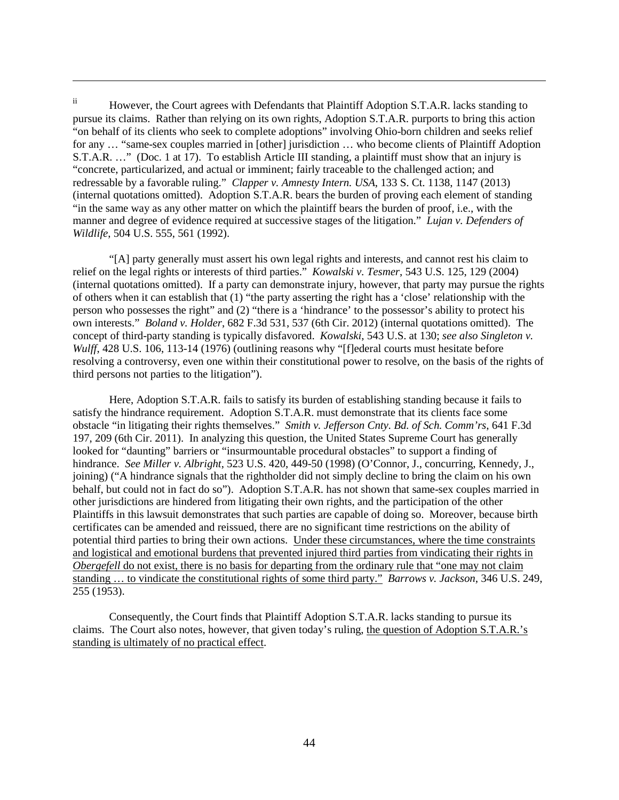ii However, the Court agrees with Defendants that Plaintiff Adoption S.T.A.R. lacks standing to pursue its claims. Rather than relying on its own rights, Adoption S.T.A.R. purports to bring this action "on behalf of its clients who seek to complete adoptions" involving Ohio-born children and seeks relief for any … "same-sex couples married in [other] jurisdiction … who become clients of Plaintiff Adoption S.T.A.R. …" (Doc. 1 at 17). To establish Article III standing, a plaintiff must show that an injury is "concrete, particularized, and actual or imminent; fairly traceable to the challenged action; and redressable by a favorable ruling." *Clapper v. Amnesty Intern. USA*, 133 S. Ct. 1138, 1147 (2013) (internal quotations omitted). Adoption S.T.A.R. bears the burden of proving each element of standing "in the same way as any other matter on which the plaintiff bears the burden of proof, i.e., with the manner and degree of evidence required at successive stages of the litigation." *Lujan v. Defenders of Wildlife*, 504 U.S. 555, 561 (1992).

 $\overline{a}$ 

"[A] party generally must assert his own legal rights and interests, and cannot rest his claim to relief on the legal rights or interests of third parties." *Kowalski v. Tesmer*, 543 U.S. 125, 129 (2004) (internal quotations omitted). If a party can demonstrate injury, however, that party may pursue the rights of others when it can establish that (1) "the party asserting the right has a 'close' relationship with the person who possesses the right" and (2) "there is a 'hindrance' to the possessor's ability to protect his own interests." *Boland v. Holder*, 682 F.3d 531, 537 (6th Cir. 2012) (internal quotations omitted). The concept of third-party standing is typically disfavored. *Kowalski*, 543 U.S. at 130; *see also Singleton v. Wulff*, 428 U.S. 106, 113-14 (1976) (outlining reasons why "[f]ederal courts must hesitate before resolving a controversy, even one within their constitutional power to resolve, on the basis of the rights of third persons not parties to the litigation").

 Here, Adoption S.T.A.R. fails to satisfy its burden of establishing standing because it fails to satisfy the hindrance requirement. Adoption S.T.A.R. must demonstrate that its clients face some obstacle "in litigating their rights themselves." *Smith v. Jefferson Cnty. Bd. of Sch. Comm'rs*, 641 F.3d 197, 209 (6th Cir. 2011). In analyzing this question, the United States Supreme Court has generally looked for "daunting" barriers or "insurmountable procedural obstacles" to support a finding of hindrance. *See Miller v. Albright*, 523 U.S. 420, 449-50 (1998) (O'Connor, J., concurring, Kennedy, J., joining) ("A hindrance signals that the rightholder did not simply decline to bring the claim on his own behalf, but could not in fact do so"). Adoption S.T.A.R. has not shown that same-sex couples married in other jurisdictions are hindered from litigating their own rights, and the participation of the other Plaintiffs in this lawsuit demonstrates that such parties are capable of doing so. Moreover, because birth certificates can be amended and reissued, there are no significant time restrictions on the ability of potential third parties to bring their own actions. Under these circumstances, where the time constraints and logistical and emotional burdens that prevented injured third parties from vindicating their rights in *Obergefell* do not exist, there is no basis for departing from the ordinary rule that "one may not claim" standing … to vindicate the constitutional rights of some third party." *Barrows v. Jackson*, 346 U.S. 249, 255 (1953).

 Consequently, the Court finds that Plaintiff Adoption S.T.A.R. lacks standing to pursue its claims. The Court also notes, however, that given today's ruling, the question of Adoption S.T.A.R.'s standing is ultimately of no practical effect.